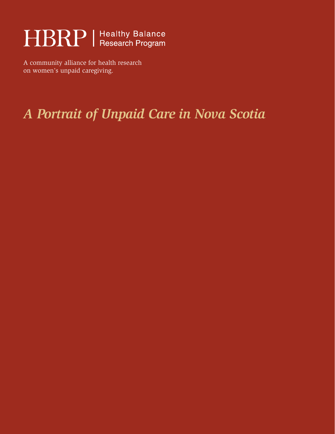A community alliance for health research on women's unpaid caregiving.

# HBRP | Healthy Balance<br>
A Protection Program<br>
A Portrait of Unpaid Care in Nova Scotia<br>
A Portrait of Unpaid Care in Nova Scotia<br>
Care in Nova Scotia<br>
A Portrait of Unpaid Care in Nova Scotia *A Portrait of Unpaid Care in Nova Scotia*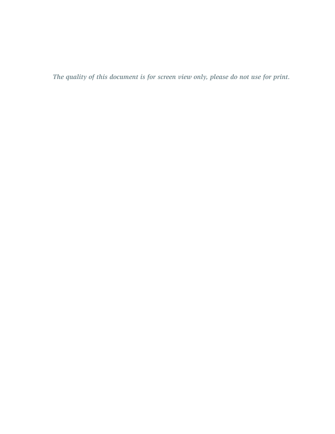*The quality of this document is for screen view only, please do not use for print.*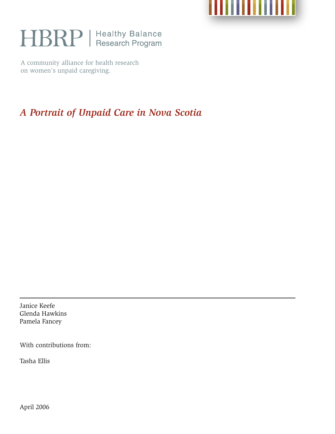

# HBRP | Healthy Balance

A community alliance for health research on women's unpaid caregiving.

# *A Portrait of Unpaid Care in Nova Scotia*

Janice Keefe Glenda Hawkins Pamela Fancey

With contributions from:

Tasha Ellis

April 2006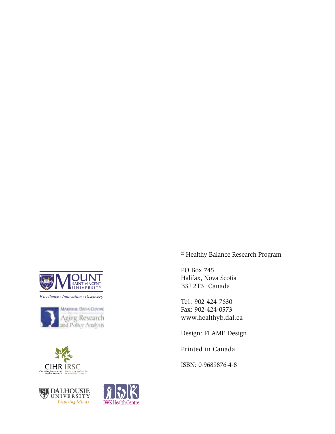© Healthy Balance Research Program

PO Box 745 Halifax, Nova Scotia B3J 2T3 Canada

Tel: 902-424-7630 Fax: 902-424-0573 www.healthyb.dal.ca

Design: FLAME Design

Printed in Canada

ISBN: 0-9689876-4-8









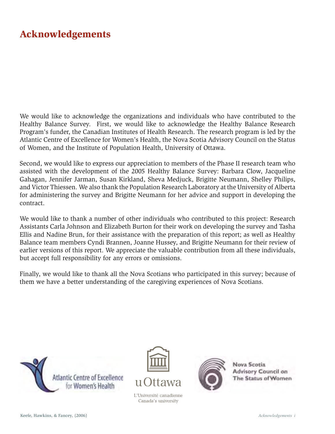# Acknowledgements

We would like to acknowledge the organizations and individuals who have contributed to the Healthy Balance Survey. First, we would like to acknowledge the Healthy Balance Research Program's funder, the Canadian Institutes of Health Research. The research program is led by the Atlantic Centre of Excellence for Women's Health, the Nova Scotia Advisory Council on the Status of Women, and the Institute of Population Health, University of Ottawa.

Second, we would like to express our appreciation to members of the Phase II research team who assisted with the development of the 2005 Healthy Balance Survey: Barbara Clow, Jacqueline Gahagan, Jennifer Jarman, Susan Kirkland, Sheva Medjuck, Brigitte Neumann, Shelley Philips, and Victor Thiessen. We also thank the Population Research Laboratory at the University of Alberta for administering the survey and Brigitte Neumann for her advice and support in developing the contract.

We would like to thank a number of other individuals who contributed to this project: Research Assistants Carla Johnson and Elizabeth Burton for their work on developing the survey and Tasha Ellis and Nadine Brun, for their assistance with the preparation of this report; as well as Healthy Balance team members Cyndi Brannen, Joanne Hussey, and Brigitte Neumann for their review of earlier versions of this report. We appreciate the valuable contribution from all these individuals, but accept full responsibility for any errors or omissions.

Finally, we would like to thank all the Nova Scotians who participated in this survey; because of them we have a better understanding of the caregiving experiences of Nova Scotians.





L'Université canadienne

Canada's university



Nova Scotia **Advisory Council on** The Status of Women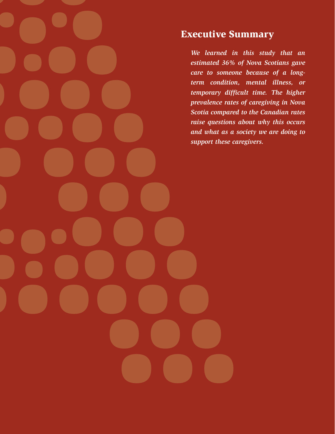<span id="page-5-0"></span>Executive Summary<br>
We tearned in this study<br>
such as the study of the study<br>
such as some tears of the study<br>
of the studies and the first disc and<br>
temporary different disc and the control of the study<br>
mapper that energ *We learned in this study that an estimated 36% of Nova Scotians gave care to someone because of a longterm condition, mental illness, or temporary difficult time. The higher prevalence rates of caregiving in Nova Scotia compared to the Canadian rates raise questions about why this occurs and what as a society we are doing to support these caregivers.*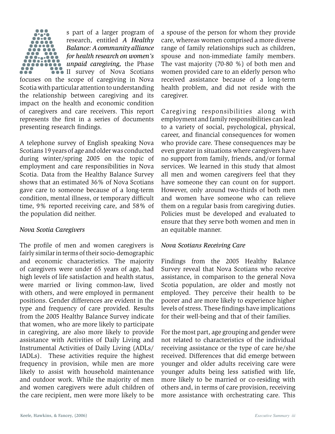

South a larger program of<br>research, entitled A Healthy<br>Balance: A community alliance<br>for health research on women's<br>unpaid caregiving, the Phase<br>MI survey of Nova Scotians<br>focuses on the scope of caregiving in Nova research, entitled *A Healthy Balance: A community alliance for health research on women's unpaid caregiving,* the Phase II survey of Nova Scotians

focuses on the scope of caregiving in Nova Scotia with particular attention to understanding the relationship between caregiving and its impact on the health and economic condition of caregivers and care receivers. This report represents the first in a series of documents presenting research findings.

A telephone survey of English speaking Nova Scotians 19 years of age and older was conducted during winter/spring 2005 on the topic of employment and care responsibilities in Nova Scotia. Data from the Healthy Balance Survey shows that an estimated 36% of Nova Scotians gave care to someone because of a long-term condition, mental illness, or temporary difficult time, 9% reported receiving care, and 58% of the population did neither.

### *Nova Scotia Caregivers*

The profile of men and women caregivers is fairly similar in terms of their socio-demographic and economic characteristics. The majority of caregivers were under 65 years of age, had high levels of life satisfaction and health status, were married or living common-law, lived with others, and were employed in permanent positions. Gender differences are evident in the type and frequency of care provided. Results from the 2005 Healthy Balance Survey indicate that women, who are more likely to participate in caregiving, are also more likely to provide assistance with Activities of Daily Living and Instrumental Activities of Daily Living (ADLs/ IADLs). These activities require the highest frequency in provision, while men are more likely to assist with household maintenance and outdoor work. While the majority of men and women caregivers were adult children of the care recipient, men were more likely to be

a spouse of the person for whom they provide care, whereas women comprised a more diverse range of family relationships such as children, spouse and non-immediate family members. The vast majority (70-80 %) of both men and women provided care to an elderly person who received assistance because of a long-term health problem, and did not reside with the caregiver.

Caregiving responsibilities along with employment and family responsibilities can lead to a variety of social, psychological, physical, career, and financial consequences for women who provide care. These consequences may be even greater in situations where caregivers have no support from family, friends, and/or formal services. We learned in this study that almost all men and women caregivers feel that they have someone they can count on for support. However, only around two-thirds of both men and women have someone who can relieve them on a regular basis from caregiving duties. Policies must be developed and evaluated to ensure that they serve both women and men in an equitable manner.

### *Nova Scotians Receiving Care*

Findings from the 2005 Healthy Balance Survey reveal that Nova Scotians who receive assistance, in comparison to the general Nova Scotia population, are older and mostly not employed. They perceive their health to be poorer and are more likely to experience higher levels of stress. These findings have implications for their well-being and that of their families.

For the most part, age grouping and gender were not related to characteristics of the individual receiving assistance or the type of care he/she received. Differences that did emerge between younger and older adults receiving care were younger adults being less satisfied with life, more likely to be married or co-residing with others and, in terms of care provision, receiving more assistance with orchestrating care. This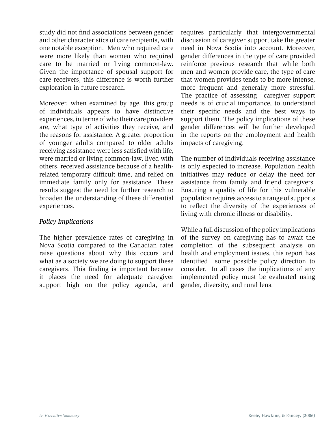study did not find associations between gender and other characteristics of care recipients, with one notable exception. Men who required care were more likely than women who required care to be married or living common-law. Given the importance of spousal support for care receivers, this difference is worth further exploration in future research.

Moreover, when examined by age, this group of individuals appears to have distinctive experiences, in terms of who their care providers are, what type of activities they receive, and the reasons for assistance. A greater proportion of younger adults compared to older adults receiving assistance were less satisfied with life, were married or living common-law, lived with others, received assistance because of a healthrelated temporary difficult time, and relied on immediate family only for assistance. These results suggest the need for further research to broaden the understanding of these differential experiences.

### *Policy Implications*

The higher prevalence rates of caregiving in Nova Scotia compared to the Canadian rates raise questions about why this occurs and what as a society we are doing to support these caregivers. This finding is important because it places the need for adequate caregiver support high on the policy agenda, and requires particularly that intergovernmental discussion of caregiver support take the greater need in Nova Scotia into account. Moreover, gender differences in the type of care provided reinforce previous research that while both men and women provide care, the type of care that women provides tends to be more intense, more frequent and generally more stressful. The practice of assessing caregiver support needs is of crucial importance, to understand their specific needs and the best ways to support them. The policy implications of these gender differences will be further developed in the reports on the employment and health impacts of caregiving.

The number of individuals receiving assistance is only expected to increase. Population health initiatives may reduce or delay the need for assistance from family and friend caregivers. Ensuring a quality of life for this vulnerable population requires access to a range of supports to reflect the diversity of the experiences of living with chronic illness or disability.

While a full discussion of the policy implications of the survey on caregiving has to await the completion of the subsequent analysis on health and employment issues, this report has identified some possible policy direction to consider. In all cases the implications of any implemented policy must be evaluated using gender, diversity, and rural lens.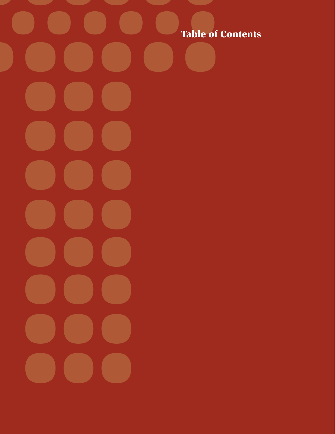t Table of Contents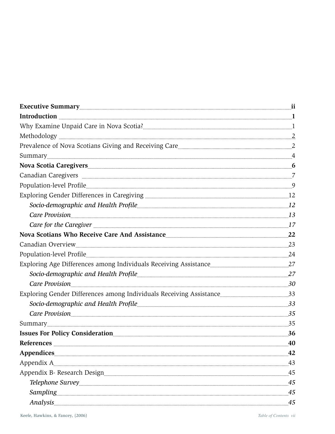| Executive Summary Executive Summary and Alliance and Alliance and Alliance and Alliance and Alliance and Alliance and Alliance and Alliance and Alliance and Alliance and Alliance and Alliance and Alliance and Alliance and  |       |
|--------------------------------------------------------------------------------------------------------------------------------------------------------------------------------------------------------------------------------|-------|
|                                                                                                                                                                                                                                |       |
|                                                                                                                                                                                                                                |       |
|                                                                                                                                                                                                                                |       |
|                                                                                                                                                                                                                                |       |
|                                                                                                                                                                                                                                |       |
|                                                                                                                                                                                                                                |       |
|                                                                                                                                                                                                                                |       |
|                                                                                                                                                                                                                                |       |
|                                                                                                                                                                                                                                |       |
|                                                                                                                                                                                                                                |       |
|                                                                                                                                                                                                                                |       |
| Care for the Caregiver <b>Election</b> 27                                                                                                                                                                                      |       |
|                                                                                                                                                                                                                                |       |
|                                                                                                                                                                                                                                |       |
|                                                                                                                                                                                                                                |       |
|                                                                                                                                                                                                                                |       |
|                                                                                                                                                                                                                                |       |
| Care Provision 20                                                                                                                                                                                                              |       |
|                                                                                                                                                                                                                                |       |
|                                                                                                                                                                                                                                |       |
|                                                                                                                                                                                                                                |       |
| $\text{Summary}_{\dots}$ 35                                                                                                                                                                                                    |       |
| Issues For Policy Consideration <b>Election</b> 26                                                                                                                                                                             |       |
|                                                                                                                                                                                                                                |       |
|                                                                                                                                                                                                                                | 42    |
|                                                                                                                                                                                                                                | 43    |
|                                                                                                                                                                                                                                | 45    |
|                                                                                                                                                                                                                                | $-45$ |
| Sampling Sampling Sampling Sampling Sampling Sampling Sampling Sampling Sampling Sampling Sampling Sampling Sampling Sampling Sampling Sampling Sampling Sampling Sampling Sampling Sampling Sampling Sampling Sampling Sampli | 45    |
|                                                                                                                                                                                                                                |       |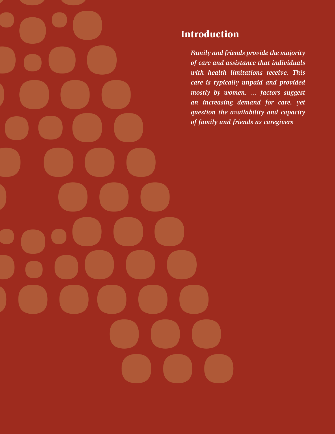<span id="page-11-0"></span>AIntroduction *Family and friends provide the majority of care and assistance that individuals with health limitations receive. This care is typically unpaid and provided mostly by women. … factors suggest an increasing demand for care, yet question the availability and capacity of family and friends as caregivers*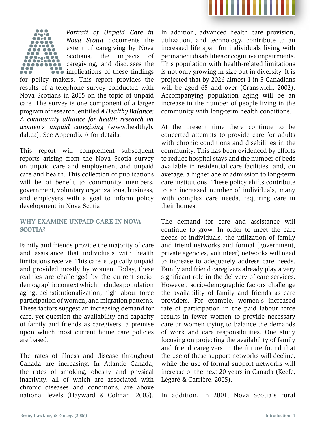



<span id="page-12-0"></span>**Portrait of Unpaid Care in**<br> **Nova Scotia** documents the<br>
extent of caregiving by Nova<br>
Scotians, the impacts of<br>
caregiving, and discusses the<br> **CONFORM** implications of these findings<br>
for policy makers. This report pro *Nova Scotia* documents the extent of caregiving by Nova Scotians, the impacts of caregiving, and discusses the **implications** of these findings

results of a telephone survey conducted with Nova Scotians in 2005 on the topic of unpaid care. The survey is one component of a larger program of research, entitled *A Healthy Balance: A community alliance for health research on women's unpaid caregiving* (www.healthyb. dal.ca). See Appendix A for details.

This report will complement subsequent reports arising from the Nova Scotia survey on unpaid care and employment and unpaid care and health. This collection of publications will be of benefit to community members, government, voluntary organizations, business, and employers with a goal to inform policy development in Nova Scotia.

### **WHY EXAMINE UNPAID CARE IN NOVA SCOTIA?**

Family and friends provide the majority of care and assistance that individuals with health limitations receive. This care is typically unpaid and provided mostly by women. Today, these realities are challenged by the current sociodemographic context which includes population aging, deinstitutionalization, high labour force participation of women, and migration patterns. These factors suggest an increasing demand for care, yet question the availability and capacity of family and friends as caregivers; a premise upon which most current home care policies are based.

The rates of illness and disease throughout Canada are increasing. In Atlantic Canada, the rates of smoking, obesity and physical inactivity, all of which are associated with chronic diseases and conditions, are above national levels (Hayward & Colman, 2003).

In addition, advanced health care provision, utilization, and technology, contribute to an increased life span for individuals living with permanent disabilities or cognitive impairments. This population with health-related limitations is not only growing in size but in diversity. It is projected that by 2026 almost 1 in 5 Canadians will be aged 65 and over (Cranswick, 2002). Accompanying population aging will be an increase in the number of people living in the community with long-term health conditions.

At the present time there continue to be concerted attempts to provide care for adults with chronic conditions and disabilities in the community. This has been evidenced by efforts to reduce hospital stays and the number of beds available in residential care facilities, and, on average, a higher age of admission to long-term care institutions. These policy shifts contribute to an increased number of individuals, many with complex care needs, requiring care in their homes.

The demand for care and assistance will continue to grow. In order to meet the care needs of individuals, the utilization of family and friend networks and formal (government, private agencies, volunteer) networks will need to increase to adequately address care needs. Family and friend caregivers already play a very significant role in the delivery of care services. However, socio-demographic factors challenge the availability of family and friends as care providers. For example, women's increased rate of participation in the paid labour force results in fewer women to provide necessary care or women trying to balance the demands of work and care responsibilities. One study focusing on projecting the availability of family and friend caregivers in the future found that the use of these support networks will decline, while the use of formal support networks will increase of the next 20 years in Canada (Keefe, Légaré & Carrière, 2005).

In addition, in 2001, Nova Scotia's rural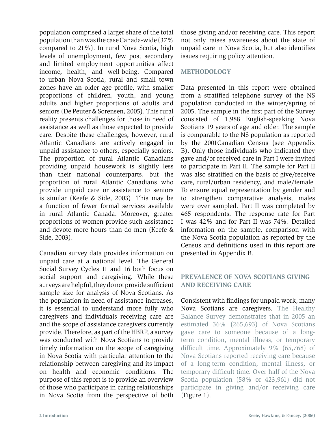<span id="page-13-0"></span>population comprised a larger share of the total population than was the case Canada-wide (37% compared to 21%). In rural Nova Scotia, high levels of unemployment, few post secondary and limited employment opportunities affect income, health, and well-being. Compared to urban Nova Scotia, rural and small town zones have an older age profile, with smaller proportions of children, youth, and young adults and higher proportions of adults and seniors (De Peuter & Sorensen, 2005). This rural reality presents challenges for those in need of assistance as well as those expected to provide care. Despite these challenges, however, rural Atlantic Canadians are actively engaged in unpaid assistance to others, especially seniors. The proportion of rural Atlantic Canadians providing unpaid housework is slightly less than their national counterparts, but the proportion of rural Atlantic Canadians who provide unpaid care or assistance to seniors is similar (Keefe & Side, 2003). This may be a function of fewer formal services available in rural Atlantic Canada. Moreover, greater proportions of women provide such assistance and devote more hours than do men (Keefe & Side, 2003).

Canadian survey data provides information on unpaid care at a national level. The General Social Survey Cycles 11 and 16 both focus on social support and caregiving. While these surveys are helpful, they do not provide sufficient sample size for analysis of Nova Scotians. As the population in need of assistance increases, it is essential to understand more fully who caregivers and individuals receiving care are and the scope of assistance caregivers currently provide. Therefore, as part of the HBRP, a survey was conducted with Nova Scotians to provide timely information on the scope of caregiving in Nova Scotia with particular attention to the relationship between caregiving and its impact on health and economic conditions. The purpose of this report is to provide an overview of those who participate in caring relationships in Nova Scotia from the perspective of both those giving and/or receiving care. This report not only raises awareness about the state of unpaid care in Nova Scotia, but also identifies issues requiring policy attention.

### **METHODOLOGY**

Data presented in this report were obtained from a stratified telephone survey of the NS population conducted in the winter/spring of 2005. The sample in the first part of the Survey consisted of 1,988 English-speaking Nova Scotians 19 years of age and older. The sample is comparable to the NS population as reported by the 2001Canadian Census (see Appendix B). Only those individuals who indicated they gave and/or received care in Part I were invited to participate in Part II. The sample for Part II was also stratified on the basis of give/receive care, rural/urban residency, and male/female. To ensure equal representation by gender and to strengthen comparative analysis, males were over sampled. Part II was completed by 465 respondents. The response rate for Part I was 42% and for Part II was 74%. Detailed information on the sample, comparison with the Nova Scotia population as reported by the Census and definitions used in this report are presented in Appendix B.

### **PREVALENCE OF NOVA SCOTIANS GIVING AND RECEIVING CARE**

Consistent with findings for unpaid work, many Nova Scotians are caregivers. The Healthy Balance Survey demonstrates that in 2005 an estimated 36% (265,693) of Nova Scotians gave care to someone because of a longterm condition, mental illness, or temporary difficult time. Approximately 9% (65,768) of Nova Scotians reported receiving care because of a long-term condition, mental illness, or temporary difficult time. Over half of the Nova Scotia population (58% or 423,961) did not participate in giving and/or receiving care (Figure 1).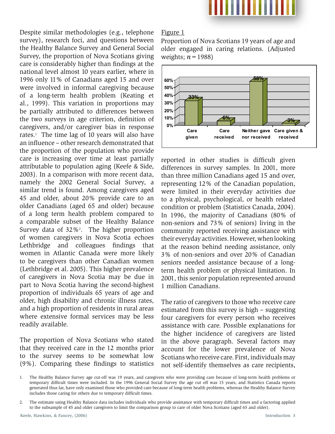

Despite similar methodologies (e.g., telephone survey), research foci, and questions between the Healthy Balance Survey and General Social Survey, the proportion of Nova Scotians giving care is considerably higher than findings at the national level almost 10 years earlier, where in 1996 only 11% of Canadians aged 15 and over were involved in informal caregiving because of a long-term health problem (Keating et al., 1999). This variation in proportions may be partially attributed to differences between the two surveys in age criterion, definition of caregivers, and/or caregiver bias in response rates.1 The time lag of 10 years will also have an influence – other research demonstrated that the proportion of the population who provide care is increasing over time at least partially attributable to population aging (Keefe & Side, 2003). In a comparison with more recent data, namely the 2002 General Social Survey, a similar trend is found. Among caregivers aged 45 and older, about 20% provide care to an older Canadians (aged 65 and older) because of a long term health problem compared to a comparable subset of the Healthy Balance Survey data of 32%<sup>2</sup>. The higher proportion of women caregivers in Nova Scotia echoes Lethbridge and colleagues findings that women in Atlantic Canada were more likely to be caregivers than other Canadian women (Lethbridge et al. 2005). This higher prevalence of caregivers in Nova Scotia may be due in part to Nova Scotia having the second-highest proportion of individuals 65 years of age and older, high disability and chronic illness rates, and a high proportion of residents in rural areas where extensive formal services may be less readily available.

The proportion of Nova Scotians who stated that they received care in the 12 months prior to the survey seems to be somewhat low (9%). Comparing these findings to statistics

### Figure 1

Proportion of Nova Scotians 19 years of age and older engaged in caring relations. (Adjusted weights;  $n = 1988$ )



reported in other studies is difficult given differences in survey samples. In 2001, more than three million Canadians aged 15 and over, representing 12% of the Canadian population, were limited in their everyday activities due to a physical, psychological, or health related condition or problem (Statistics Canada, 2004). In 1996, the majority of Canadians (80% of non-seniors and 73% of seniors) living in the community reported receiving assistance with their everyday activities. However, when looking at the reason behind needing assistance, only 3% of non-seniors and over 20% of Canadian seniors needed assistance because of a longterm health problem or physical limitation. In 2001, this senior population represented around 1 million Canadians.

The ratio of caregivers to those who receive care estimated from this survey is high – suggesting four caregivers for every person who receives assistance with care. Possible explanations for the higher incidence of caregivers are listed in the above paragraph. Several factors may account for the lower prevalence of Nova Scotians who receive care. First, individuals may not self-identify themselves as care recipients,

<sup>1.</sup> The Healthy Balance Survey age cut-off was 19 years, and caregivers who were providing care because of long-term health problems or temporary difficult times were included. In the 1996 General Social Survey the age cut off was 15 years, and Statistics Canada reports generated thus far, have only examined those who provided care because of long-term health problems, whereas the Healthy Balance Survey includes those caring for others due to temporary difficult times.

<sup>2.</sup> The estimate using Healthy Balance data includes individuals who provide assistance with temporary difficult times and a factoring applied to the subsample of 45 and older caregivers to limit the comparison group to care of older Nova Scotians (aged 65 and older).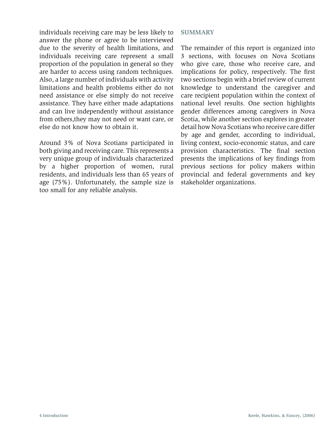<span id="page-15-0"></span>individuals receiving care may be less likely to answer the phone or agree to be interviewed due to the severity of health limitations, and individuals receiving care represent a small proportion of the population in general so they are harder to access using random techniques. Also, a large number of individuals with activity limitations and health problems either do not need assistance or else simply do not receive assistance. They have either made adaptations and can live independently without assistance from others,they may not need or want care, or else do not know how to obtain it.

Around 3% of Nova Scotians participated in both giving and receiving care. This represents a very unique group of individuals characterized by a higher proportion of women, rural residents, and individuals less than 65 years of age (75%). Unfortunately, the sample size is too small for any reliable analysis.

### **SUMMARY**

The remainder of this report is organized into 3 sections, with focuses on Nova Scotians who give care, those who receive care, and implications for policy, respectively. The first two sections begin with a brief review of current knowledge to understand the caregiver and care recipient population within the context of national level results. One section highlights gender differences among caregivers in Nova Scotia, while another section explores in greater detail how Nova Scotians who receive care differ by age and gender, according to individual, living context, socio-economic status, and care provision characteristics. The final section presents the implications of key findings from previous sections for policy makers within provincial and federal governments and key stakeholder organizations.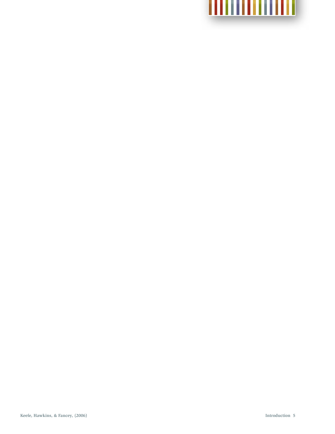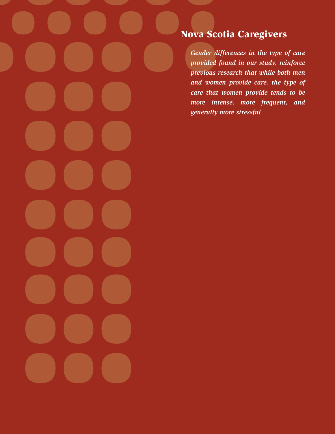# Nova Scotia Caregivers

<span id="page-17-0"></span>Nova Scotia Ca<br>
Conder differences in a conder difference of the property of the conder product in a<br>
conder function product in a conder product on a conder product on the conder product on the conder product on the conde *Gender differences in the type of care provided found in our study, reinforce previous research that while both men and women provide care, the type of care that women provide tends to be more intense, more frequent, and generally more stressful*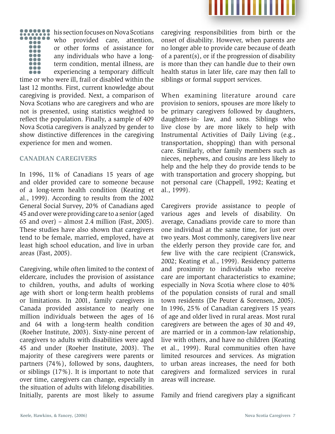

<span id="page-18-0"></span>T his section focuses on Nova Scotians who provided care, attention, or other forms of assistance for any individuals who have a longterm condition, mental illness, are experiencing a temporary difficult

time or who were ill, frail or disabled within the last 12 months. First, current knowledge about caregiving is provided. Next, a comparison of Nova Scotians who are caregivers and who are not is presented, using statistics weighted to reflect the population. Finally, a sample of 409 Nova Scotia caregivers is analyzed by gender to show distinctive differences in the caregiving experience for men and women.

### **CANADIAN CAREGIVERS**

In 1996, 11% of Canadians 15 years of age and older provided care to someone because of a long-term health condition (Keating et al., 1999). According to results from the 2002 General Social Survey, 20% of Canadians aged 45 and over were providing care to a senior (aged 65 and over) – almost 2.4 million (Fast, 2005). These studies have also shown that caregivers tend to be female, married, employed, have at least high school education, and live in urban areas (Fast, 2005).

Caregiving, while often limited to the context of eldercare, includes the provision of assistance to children, youths, and adults of working age with short or long-term health problems or limitations. In 2001, family caregivers in Canada provided assistance to nearly one million individuals between the ages of 16 and 64 with a long-term health condition (Roeher Institute, 2003). Sixty-nine percent of caregivers to adults with disabilities were aged 45 and under (Roeher Institute, 2003). The majority of these caregivers were parents or partners (74%), followed by sons, daughters, or siblings (17%). It is important to note that over time, caregivers can change, especially in the situation of adults with lifelong disabilities. Initially, parents are most likely to assume

caregiving responsibilities from birth or the onset of disability. However, when parents are no longer able to provide care because of death of a parent(s), or if the progression of disability is more than they can handle due to their own health status in later life, care may then fall to siblings or formal support services.

When examining literature around care provision to seniors, spouses are more likely to be primary caregivers followed by daughters, daughters-in- law, and sons. Siblings who live close by are more likely to help with Instrumental Activities of Daily Living (e.g., transportation, shopping) than with personal care. Similarly, other family members such as nieces, nephews, and cousins are less likely to help and the help they do provide tends to be with transportation and grocery shopping, but not personal care (Chappell, 1992; Keating et al., 1999).

Caregivers provide assistance to people of various ages and levels of disability. On average, Canadians provide care to more than one individual at the same time, for just over two years. Most commonly, caregivers live near the elderly person they provide care for, and few live with the care recipient (Cranswick, 2002; Keating et al., 1999). Residency patterns and proximity to individuals who receive care are important characteristics to examine; especially in Nova Scotia where close to 40% of the population consists of rural and small town residents (De Peuter & Sorensen, 2005). In 1996, 25% of Canadian caregivers 15 years of age and older lived in rural areas. Most rural caregivers are between the ages of 30 and 49, are married or in a common-law relationship, live with others, and have no children (Keating et al., 1999). Rural communities often have limited resources and services. As migration to urban areas increases, the need for both caregivers and formalized services in rural areas will increase.

Family and friend caregivers play a significant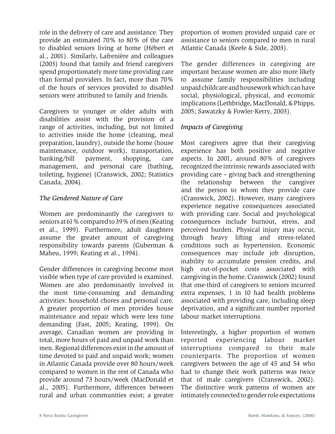role in the delivery of care and assistance. They provide an estimated 70% to 80% of the care to disabled seniors living at home (Hébert et al., 2001). Similarly, Lafrenière and colleagues (2003) found that family and friend caregivers spend proportionately more time providing care than formal providers. In fact, more than 70% of the hours of services provided to disabled seniors were attributed to family and friends.

Caregivers to younger or older adults with disabilities assist with the provision of a range of activities, including, but not limited to activities inside the home (cleaning, meal preparation, laundry), outside the home (house maintenance, outdoor work), transportation, banking/bill payment, shopping, care management, and personal care (bathing, toileting, hygiene) (Cranswick, 2002; Statistics Canada, 2004).

### *The Gendered Nature of Care*

Women are predominantly the caregivers to seniors at 61% compared to 39% of men (Keating et al., 1999). Furthermore, adult daughters assume the greater amount of caregiving responsibility towards parents (Guberman & Maheu, 1999; Keating et al., 1994).

Gender differences in caregiving become most visible when type of care provided is examined. Women are also predominantly involved in the most time-consuming and demanding activities: household chores and personal care. A greater proportion of men provides house maintenance and repair which were less time demanding (Fast, 2005; Keating, 1999). On average, Canadian women are providing in total, more hours of paid and unpaid work than men. Regional differences exist in the amount of time devoted to paid and unpaid work; women in Atlantic Canada provide over 80 hours/week compared to women in the rest of Canada who provide around 73 hours/week (MacDonald et al., 2005). Furthermore, differences between rural and urban communities exist; a greater proportion of women provided unpaid care or assistance to seniors compared to men in rural Atlantic Canada (Keefe & Side, 2003).

The gender differences in caregiving are important because women are also more likely to assume family responsibilities including unpaid childcare and housework which can have social, physiological, physical, and economic implications (Lethbridge, MacDonald, & Phipps, 2005; Sawatzky & Fowler-Kerry, 2003).

### *Impacts of Caregiving*

Most caregivers agree that their caregiving experience has both positive and negative aspects. In 2001, around 80% of caregivers recognized the intrinsic rewards associated with providing care – giving back and strengthening the relationship between the caregiver and the person to whom they provide care (Cranswick, 2002). However, many caregivers experience negative consequences associated with providing care. Social and psychological consequences include burnout, stress, and perceived burden. Physical injury may occur, through heavy lifting and stress-related conditions such as hypertension. Economic consequences may include job disruption, inability to accumulate pension credits, and high out-of-pocket costs associated with caregiving in the home. Cranswick (2002) found that one-third of caregivers to seniors incurred extra expenses, 1 in 10 had health problems associated with providing care, including sleep deprivation, and a significant number reported labour market interruptions.

Interestingly, a higher proportion of women reported experiencing labour market interruptions compared to their male counterparts. The proportion of women caregivers between the age of 45 and 54 who had to change their work patterns was twice that of male caregivers (Cranswick, 2002). The distinctive work patterns of women are intimately connected to gender role expectations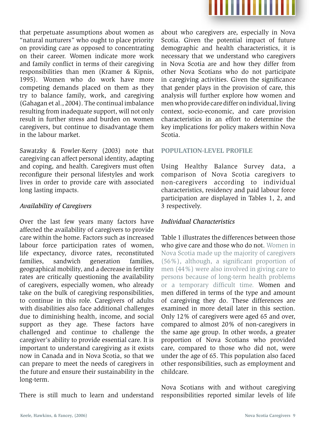

<span id="page-20-0"></span>that perpetuate assumptions about women as "natural nurturers" who ought to place priority on providing care as opposed to concentrating on their career. Women indicate more work and family conflict in terms of their caregiving responsibilities than men (Kramer & Kipnis, 1995). Women who do work have more competing demands placed on them as they try to balance family, work, and caregiving (Gahagan et al., 2004). The continual imbalance resulting from inadequate support, will not only result in further stress and burden on women caregivers, but continue to disadvantage them in the labour market.

Sawatzky & Fowler-Kerry (2003) note that caregiving can affect personal identity, adapting and coping, and health. Caregivers must often reconfigure their personal lifestyles and work lives in order to provide care with associated long lasting impacts.

### *Availability of Caregivers*

Over the last few years many factors have affected the availability of caregivers to provide care within the home. Factors such as increased labour force participation rates of women, life expectancy, divorce rates, reconstituted families, sandwich generation families, geographical mobility, and a decrease in fertility rates are critically questioning the availability of caregivers, especially women, who already take on the bulk of caregiving responsibilities, to continue in this role. Caregivers of adults with disabilities also face additional challenges due to diminishing health, income, and social support as they age. These factors have challenged and continue to challenge the caregiver's ability to provide essential care. It is important to understand caregiving as it exists now in Canada and in Nova Scotia, so that we can prepare to meet the needs of caregivers in the future and ensure their sustainability in the long-term.

There is still much to learn and understand

about who caregivers are, especially in Nova Scotia. Given the potential impact of future demographic and health characteristics, it is necessary that we understand who caregivers in Nova Scotia are and how they differ from other Nova Scotians who do not participate in caregiving activities. Given the significance that gender plays in the provision of care, this analysis will further explore how women and men who provide care differ on individual, living context, socio-economic, and care provision characteristics in an effort to determine the key implications for policy makers within Nova Scotia.

### **POPULATION-LEVEL PROFILE**

Using Healthy Balance Survey data, a comparison of Nova Scotia caregivers to non-caregivers according to individual characteristics, residency and paid labour force participation are displayed in Tables 1, 2, and 3 respectively.

### *Individual Characteristics*

Table 1 illustrates the differences between those who give care and those who do not. Women in Nova Scotia made up the majority of caregivers (56%), although, a significant proportion of men (44%) were also involved in giving care to persons because of long-term health problems or a temporary difficult time. Women and men differed in terms of the type and amount of caregiving they do. These differences are examined in more detail later in this section. Only 12% of caregivers were aged 65 and over, compared to almost 20% of non-caregivers in the same age group. In other words, a greater proportion of Nova Scotians who provided care, compared to those who did not, were under the age of 65. This population also faced other responsibilities, such as employment and childcare.

Nova Scotians with and without caregiving responsibilities reported similar levels of life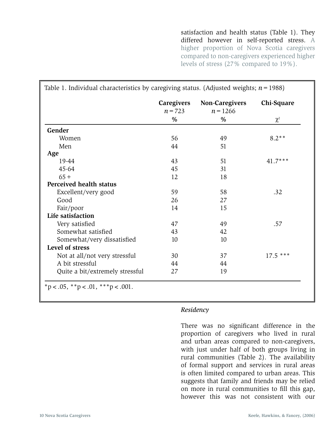satisfaction and health status (Table 1). They differed however in self-reported stress. A higher proportion of Nova Scotia caregivers compared to non-caregivers experienced higher levels of stress (27% compared to 19%).

|                                 | <b>Caregivers</b><br>$n = 723$ | <b>Non-Caregivers</b><br>$n = 1266$ | Chi-Square |
|---------------------------------|--------------------------------|-------------------------------------|------------|
|                                 | $\%$                           | %                                   | $\chi^2$   |
| Gender                          |                                |                                     |            |
| Women                           | 56                             | 49                                  | $8.2**$    |
| Men                             | 44                             | 51                                  |            |
| Age                             |                                |                                     |            |
| 19-44                           | 43                             | 51                                  | $41.7***$  |
| 45-64                           | 45                             | 31                                  |            |
| $65+$                           | 12                             | 18                                  |            |
| Perceived health status         |                                |                                     |            |
| Excellent/very good             | 59                             | 58                                  | .32        |
| Good                            | 26                             | 27                                  |            |
| Fair/poor                       | 14                             | 15                                  |            |
| Life satisfaction               |                                |                                     |            |
| Very satisfied                  | 47                             | 49                                  | .57        |
| Somewhat satisfied              | 43                             | 42                                  |            |
| Somewhat/very dissatisfied      | 10                             | 10                                  |            |
| Level of stress                 |                                |                                     |            |
| Not at all/not very stressful   | 30                             | 37                                  | $17.5***$  |
| A bit stressful                 | 44                             | 44                                  |            |
| Quite a bit/extremely stressful | 27                             | 19                                  |            |

*Residency*

There was no significant difference in the proportion of caregivers who lived in rural and urban areas compared to non-caregivers, with just under half of both groups living in rural communities (Table 2). The availability of formal support and services in rural areas is often limited compared to urban areas. This suggests that family and friends may be relied on more in rural communities to fill this gap, however this was not consistent with our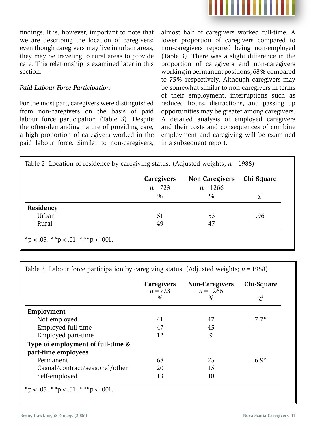

findings. It is, however, important to note that we are describing the location of caregivers; even though caregivers may live in urban areas, they may be traveling to rural areas to provide care. This relationship is examined later in this section.

### *Paid Labour Force Participation*

For the most part, caregivers were distinguished from non-caregivers on the basis of paid labour force participation (Table 3). Despite the often-demanding nature of providing care, a high proportion of caregivers worked in the paid labour force. Similar to non-caregivers,

almost half of caregivers worked full-time. A lower proportion of caregivers compared to non-caregivers reported being non-employed (Table 3). There was a slight difference in the proportion of caregivers and non-caregivers working in permanent positions, 68% compared to 75% respectively. Although caregivers may be somewhat similar to non-caregivers in terms of their employment, interruptions such as reduced hours, distractions, and passing up opportunities may be greater among caregivers. A detailed analysis of employed caregivers and their costs and consequences of combine employment and caregiving will be examined in a subsequent report.

|           | <b>Caregivers</b><br>$n = 723$ | <b>Non-Caregivers</b><br>$n = 1266$ | Chi-Square |
|-----------|--------------------------------|-------------------------------------|------------|
|           | $\%$                           | $\%$                                | $\chi^2$   |
| Residency |                                |                                     |            |
| Urban     | 51                             | 53                                  | .96        |
| Rural     | 49                             | 47                                  |            |

|  | Table 3. Labour force participation by caregiving status. (Adjusted weights; $n = 1988$ ) |  |
|--|-------------------------------------------------------------------------------------------|--|

|                                   | <b>Caregivers</b><br>$n = 723$<br>$\frac{0}{0}$ | <b>Non-Caregivers</b><br>$n = 1266$<br>$\frac{0}{0}$ | Chi-Square<br>$\chi^2$ |
|-----------------------------------|-------------------------------------------------|------------------------------------------------------|------------------------|
| Employment                        |                                                 |                                                      |                        |
| Not employed                      | 41                                              | 47                                                   | $7.7*$                 |
| Employed full-time                | 47                                              | 45                                                   |                        |
| Employed part-time                | 12                                              | 9                                                    |                        |
| Type of employment of full-time & |                                                 |                                                      |                        |
| part-time employees               |                                                 |                                                      |                        |
| Permanent                         | 68                                              | 75                                                   | $6.9*$                 |
| Casual/contract/seasonal/other    | 20                                              | 15                                                   |                        |
| Self-employed                     | 13                                              | 10                                                   |                        |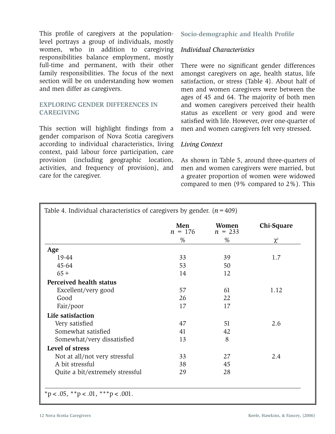<span id="page-23-0"></span>This profile of caregivers at the populationlevel portrays a group of individuals, mostly women, who in addition to caregiving responsibilities balance employment, mostly full-time and permanent, with their other family responsibilities. The focus of the next section will be on understanding how women and men differ as caregivers.

### **EXPLORING GENDER DIFFERENCES IN CAREGIVING**

This section will highlight findings from a gender comparison of Nova Scotia caregivers according to individual characteristics, living context, paid labour force participation, care provision (including geographic location, activities, and frequency of provision), and care for the caregiver.

### **Socio-demographic and Health Profile**

### *Individual Characteristics*

There were no significant gender differences amongst caregivers on age, health status, life satisfaction, or stress (Table 4). About half of men and women caregivers were between the ages of 45 and 64. The majority of both men and women caregivers perceived their health status as excellent or very good and were satisfied with life. However, over one-quarter of men and women caregivers felt very stressed.

### *Living Context*

As shown in Table 5, around three-quarters of men and women caregivers were married, but a greater proportion of women were widowed compared to men (9% compared to 2%). This

|                                 | Men<br>$n = 176$ | Women<br>$n = 233$ | Chi-Square |
|---------------------------------|------------------|--------------------|------------|
|                                 | %                | %                  | $\chi^2$   |
| Age                             |                  |                    |            |
| 19-44                           | 33               | 39                 | 1.7        |
| 45-64                           | 53               | 50                 |            |
| $65+$                           | 14               | 12                 |            |
| Perceived health status         |                  |                    |            |
| Excellent/very good             | 57               | 61                 | 1.12       |
| Good                            | 26               | 22                 |            |
| Fair/poor                       | 17               | 17                 |            |
| Life satisfaction               |                  |                    |            |
| Very satisfied                  | 47               | 51                 | 2.6        |
| Somewhat satisfied              | 41               | 42                 |            |
| Somewhat/very dissatisfied      | 13               | 8                  |            |
| Level of stress                 |                  |                    |            |
| Not at all/not very stressful   | 33               | 27                 | 2.4        |
| A bit stressful                 | 38               | 45                 |            |
| Quite a bit/extremely stressful | 29               | 28                 |            |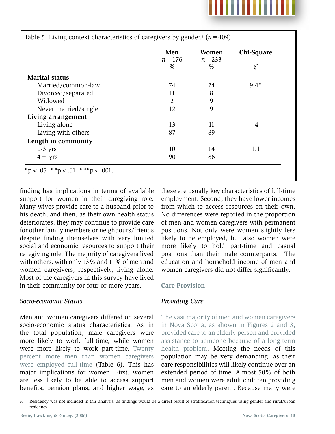

|                       | Men<br>$n = 176$ | Women<br>$n = 233$ | Chi-Square |
|-----------------------|------------------|--------------------|------------|
|                       | $\%$             | $\%$               | $\chi^2$   |
| <b>Marital status</b> |                  |                    |            |
| Married/common-law    | 74               | 74                 | $9.4*$     |
| Divorced/separated    | 11               | 8                  |            |
| Widowed               | $\overline{2}$   | 9                  |            |
| Never married/single  | 12               | 9                  |            |
| Living arrangement    |                  |                    |            |
| Living alone          | 13               | 11                 | $\cdot$    |
| Living with others    | 87               | 89                 |            |
| Length in community   |                  |                    |            |
| $0-3$ yrs             | 10               | 14                 | 1.1        |
| $4 + yrs$             | 90               | 86                 |            |

<span id="page-24-0"></span>Table 5. Living context characteristics of caregivers by gender.<sup>3</sup> ( $n = 409$ )

finding has implications in terms of available support for women in their caregiving role. Many wives provide care to a husband prior to his death, and then, as their own health status deteriorates, they may continue to provide care for other family members or neighbours/friends despite finding themselves with very limited social and economic resources to support their caregiving role. The majority of caregivers lived with others, with only 13% and 11% of men and women caregivers, respectively, living alone. Most of the caregivers in this survey have lived in their community for four or more years.

### *Socio-economic Status*

Men and women caregivers differed on several socio-economic status characteristics. As in the total population, male caregivers were more likely to work full-time, while women were more likely to work part-time. Twenty percent more men than women caregivers were employed full-time (Table 6). This has major implications for women. First, women are less likely to be able to access support benefits, pension plans, and higher wage, as

these are usually key characteristics of full-time employment. Second, they have lower incomes from which to access resources on their own. No differences were reported in the proportion of men and women caregivers with permanent positions. Not only were women slightly less likely to be employed, but also women were more likely to hold part-time and casual positions than their male counterparts. The education and household income of men and women caregivers did not differ significantly.

### **Care Provision**

### *Providing Care*

The vast majority of men and women caregivers in Nova Scotia, as shown in Figures 2 and 3, provided care to an elderly person and provided assistance to someone because of a long-term health problem. Meeting the needs of this population may be very demanding, as their care responsibilities will likely continue over an extended period of time. Almost 50% of both men and women were adult children providing care to an elderly parent. Because many were

<sup>3.</sup> Residency was not included in this analysis, as findings would be a direct result of stratification techniques using gender and rural/urban residency.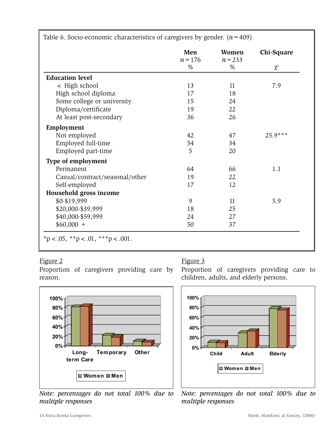|                                | Men<br>$n = 176$ | <b>Women</b><br>$n = 233$ | Chi-Square |
|--------------------------------|------------------|---------------------------|------------|
|                                | $\%$             | %                         | $\chi^2$   |
| <b>Education level</b>         |                  |                           |            |
| < High school                  | 13               | 11                        | 7.9        |
| High school diploma            | 17               | 18                        |            |
| Some college or university     | 15               | 24                        |            |
| Diploma/certificate            | 19               | 22                        |            |
| At least post-secondary        | 36               | 26                        |            |
| Employment                     |                  |                           |            |
| Not employed                   | 42               | 47                        | $25.9***$  |
| Employed full-time             | 54               | 34                        |            |
| Employed part-time             | 5                | 20                        |            |
| Type of employment             |                  |                           |            |
| Permanent                      | 64               | 66                        | 1.1        |
| Casual/contract/seasonal/other | 19               | 22                        |            |
| Self-employed                  | 17               | 12                        |            |
| Household gross income         |                  |                           |            |
| \$0-\$19,999                   | 9                | 11                        | 5.9        |
| \$20,000-\$39,999              | 18               | 25                        |            |
| \$40,000-\$59,999              | 24               | 27                        |            |
| $$60,000 +$                    | 50               | 37                        |            |

Table 6. Socio-economic characteristics of caregivers by gender. (*n*=409)

 $*p < .05, **p < .01, **p < .001.$ 

### Figure 2

Proportion of caregivers providing care by reason.



*Note: percentages do not total 100% due to multiple responses*

### Figure 3

Proportion of caregivers providing care to children, adults, and elderly persons.



*Note: percentages do not total 100% due to multiple responses*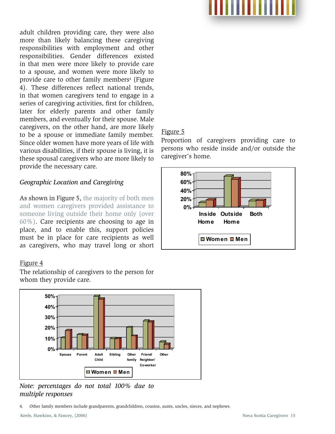adult children providing care, they were also more than likely balancing these caregiving responsibilities with employment and other responsibilities. Gender differences existed in that men were more likely to provide care to a spouse, and women were more likely to provide care to other family members<sup>4</sup> (Figure 4). These differences reflect national trends, in that women caregivers tend to engage in a series of caregiving activities, first for children, later for elderly parents and other family members, and eventually for their spouse. Male caregivers, on the other hand, are more likely to be a spouse or immediate family member. Since older women have more years of life with various disabilities, if their spouse is living, it is these spousal caregivers who are more likely to provide the necessary care.

### *Geographic Location and Caregiving*

As shown in Figure 5, the majority of both men and women caregivers provided assistance to someone living outside their home only (over 60%). Care recipients are choosing to age in place, and to enable this, support policies must be in place for care recipients as well as caregivers, who may travel long or short

### Figure 4



The relationship of caregivers to the person for whom they provide care.

### *Note: percentages do not total 100% due to multiple responses*

## Figure 5

Proportion of caregivers providing care to persons who reside inside and/or outside the caregiver's home.



<sup>4.</sup> Other family members include grandparents, grandchildren, cousins, aunts, uncles, nieces, and nephews.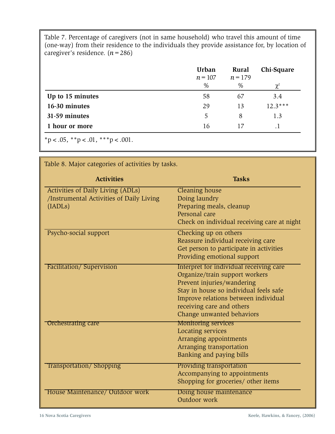| caregiver's residence. $(n = 286)$ | (one-way) from their residence to the individuals they provide assistance for, by location of |                                   |                        |  |  |
|------------------------------------|-----------------------------------------------------------------------------------------------|-----------------------------------|------------------------|--|--|
|                                    | <b>Urban</b><br>$n = 107$<br>$\%$                                                             | <b>Rural</b><br>$n = 179$<br>$\%$ | Chi-Square<br>$\chi^2$ |  |  |
| Up to 15 minutes                   | 58                                                                                            | 67                                | 3.4                    |  |  |
| 16-30 minutes                      | 29                                                                                            | 13                                | $12.3***$              |  |  |
| 31-59 minutes                      | 5                                                                                             | 8                                 | 1.3                    |  |  |
| 1 hour or more                     | 16                                                                                            | 17                                | $\cdot$                |  |  |

Table 7. Percentage of caregivers (not in same household) who travel this amount of time

 $*p < .05, **p < .01, **p < .001.$ 

| Table 8. Major categories of activities by tasks. |                                                                 |
|---------------------------------------------------|-----------------------------------------------------------------|
| <b>Activities</b>                                 | <b>Tasks</b>                                                    |
| Activities of Daily Living (ADLs)                 | <b>Cleaning house</b>                                           |
| /Instrumental Activities of Daily Living          | Doing laundry                                                   |
| (IAD <sub>L</sub> )                               | Preparing meals, cleanup                                        |
|                                                   | Personal care                                                   |
|                                                   | Check on individual receiving care at night                     |
| Psycho-social support                             | Checking up on others                                           |
|                                                   | Reassure individual receiving care                              |
|                                                   | Get person to participate in activities                         |
|                                                   | Providing emotional support                                     |
| <b>Facilitation/Supervision</b>                   | Interpret for individual receiving care                         |
|                                                   | Organize/train support workers                                  |
|                                                   | Prevent injuries/wandering                                      |
|                                                   | Stay in house so individual feels safe                          |
|                                                   | Improve relations between individual                            |
|                                                   | receiving care and others                                       |
|                                                   | Change unwanted behaviors                                       |
| <b>Orchestrating care</b>                         | <b>Monitoring services</b><br>Locating services                 |
|                                                   | Arranging appointments                                          |
|                                                   | Arranging transportation                                        |
|                                                   | Banking and paying bills                                        |
|                                                   |                                                                 |
| Transportation/Shopping                           | <b>Providing transportation</b><br>Accompanying to appointments |
|                                                   | Shopping for groceries/ other items                             |
|                                                   |                                                                 |
| House Maintenance/ Outdoor work                   | Doing house maintenance                                         |
|                                                   | Outdoor work                                                    |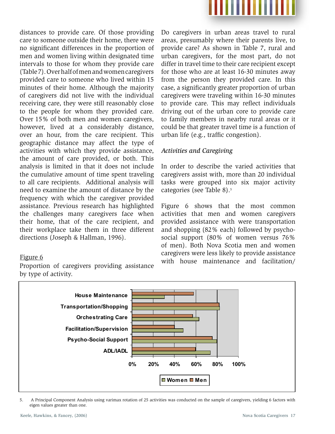

<span id="page-28-0"></span>distances to provide care. Of those providing care to someone outside their home, there were no significant differences in the proportion of men and women living within designated time intervals to those for whom they provide care (Table 7). Over half of men and women caregivers provided care to someone who lived within 15 minutes of their home. Although the majority of caregivers did not live with the individual receiving care, they were still reasonably close to the people for whom they provided care. Over 15% of both men and women caregivers, however, lived at a considerably distance, over an hour, from the care recipient. This geographic distance may affect the type of activities with which they provide assistance, the amount of care provided, or both. This analysis is limited in that it does not include the cumulative amount of time spent traveling to all care recipients. Additional analysis will need to examine the amount of distance by the frequency with which the caregiver provided assistance. Previous research has highlighted the challenges many caregivers face when their home, that of the care recipient, and their workplace take them in three different directions (Joseph & Hallman, 1996).

Proportion of caregivers providing assistance by type of activity.

Do caregivers in urban areas travel to rural areas, presumably where their parents live, to provide care? As shown in Table 7, rural and urban caregivers, for the most part, do not differ in travel time to their care recipient except for those who are at least 16-30 minutes away from the person they provided care. In this case, a significantly greater proportion of urban caregivers were traveling within 16-30 minutes to provide care. This may reflect individuals driving out of the urban core to provide care to family members in nearby rural areas or it could be that greater travel time is a function of urban life (e.g., traffic congestion).

### *Activities and Caregiving*

In order to describe the varied activities that caregivers assist with, more than 20 individual tasks were grouped into six major activity categories (see Table 8).<sup>5</sup>

Figure 6 shows that the most common activities that men and women caregivers provided assistance with were transportation and shopping (82% each) followed by psychosocial support (80% of women versus 76% of men). Both Nova Scotia men and women caregivers were less likely to provide assistance Eigure 6<br>With house maintenance and facilitation/



5. A Principal Component Analysis using varimax rotation of 25 activities was conducted on the sample of caregivers, yielding 6 factors with eigen values greater than one.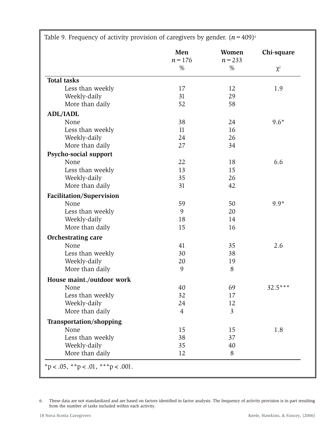|                                   | Men                  | <b>Women</b>      | Chi-square |
|-----------------------------------|----------------------|-------------------|------------|
|                                   | $n = 176$<br>%       | $n = 233$<br>$\%$ | $\chi^2$   |
| <b>Total tasks</b>                |                      |                   |            |
| Less than weekly                  | 17                   | 12                | 1.9        |
| Weekly-daily                      | 31                   | 29                |            |
| More than daily                   | 52                   | 58                |            |
| <b>ADL/IADL</b>                   |                      |                   |            |
| None                              | 38                   | 24                | $9.6*$     |
| Less than weekly                  | 11                   | 16                |            |
| Weekly-daily                      | 24                   | 26                |            |
| More than daily                   | 27                   | 34                |            |
| Psycho-social support             |                      |                   |            |
| None                              | 22                   | 18                | 6.6        |
| Less than weekly                  | 13                   | 15                |            |
| Weekly-daily                      | 35                   | 26                |            |
| More than daily                   | 31                   | 42                |            |
| <b>Facilitation/Supervision</b>   |                      |                   |            |
| None                              | 59                   | 50                | $9.9*$     |
| Less than weekly                  | 9                    | 20                |            |
| Weekly-daily                      | 18                   | 14                |            |
| More than daily                   | 15                   | 16                |            |
|                                   |                      |                   |            |
| <b>Orchestrating care</b><br>None | 41                   | 35                | 2.6        |
| Less than weekly                  | 30                   | 38                |            |
| Weekly-daily                      | 20                   | 19                |            |
| More than daily                   | 9                    | 8                 |            |
|                                   |                      |                   |            |
| House maint./outdoor work         |                      |                   |            |
| None                              | 40                   | 69                | $32.5***$  |
| Less than weekly                  | 32                   | 17                |            |
| Weekly-daily                      | 24<br>$\overline{4}$ | 12<br>3           |            |
| More than daily                   |                      |                   |            |
| <b>Transportation/shopping</b>    |                      |                   |            |
| None                              | 15                   | 15                | 1.8        |
| Less than weekly                  | 38                   | 37                |            |
| Weekly-daily                      | 35                   | 40                |            |
| More than daily                   | 12                   | 8                 |            |

Table 9. Frequency of activity provision of caregivers by gender.  $(n=409)^6$ 

<sup>6.</sup> These data are not standardized and are based on factors identified in factor analysis. The frequency of activity provision is in part resulting from the number of tasks included within each activity.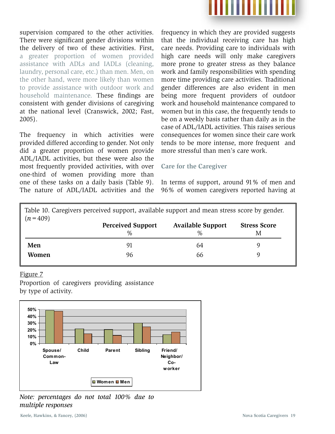

supervision compared to the other activities. There were significant gender divisions within the delivery of two of these activities. First, a greater proportion of women provided assistance with ADLs and IADLs (cleaning, laundry, personal care, etc.) than men. Men, on the other hand, were more likely than women to provide assistance with outdoor work and household maintenance. These findings are consistent with gender divisions of caregiving at the national level (Cranswick, 2002; Fast, 2005).

The frequency in which activities were provided differed according to gender. Not only did a greater proportion of women provide ADL/IADL activities, but these were also the most frequently provided activities, with over one-third of women providing more than one of these tasks on a daily basis (Table 9). The nature of ADL/IADL activities and the

frequency in which they are provided suggests that the individual receiving care has high care needs. Providing care to individuals with high care needs will only make caregivers more prone to greater stress as they balance work and family responsibilities with spending more time providing care activities. Traditional gender differences are also evident in men being more frequent providers of outdoor work and household maintenance compared to women but in this case, the frequently tends to be on a weekly basis rather than daily as in the case of ADL/IADL activities. This raises serious consequences for women since their care work tends to be more intense, more frequent and more stressful than men's care work.

### **Care for the Caregiver**

In terms of support, around 91% of men and 96% of women caregivers reported having at

| Table 10. Caregivers perceived support, available support and mean stress score by gender.<br>$(n = 409)$ |                                           |                                           |                          |  |
|-----------------------------------------------------------------------------------------------------------|-------------------------------------------|-------------------------------------------|--------------------------|--|
|                                                                                                           | <b>Perceived Support</b><br>$\frac{0}{0}$ | <b>Available Support</b><br>$\frac{0}{0}$ | <b>Stress Score</b><br>M |  |
| Men                                                                                                       | 91                                        | 64                                        |                          |  |
| Women                                                                                                     | 96                                        | 66                                        |                          |  |

### Figure 7

Proportion of caregivers providing assistance by type of activity.



*Note: percentages do not total 100% due to multiple responses*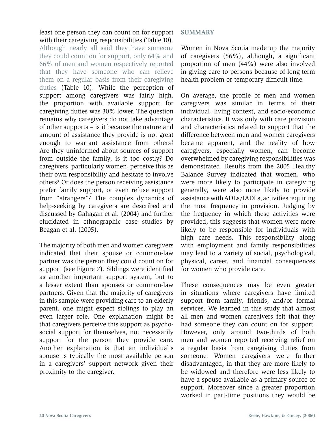Although nearly all said they have someone they could count on for support, only 64% and 66% of men and women respectively reported that they have someone who can relieve them on a regular basis from their caregiving duties (Table 10). While the perception of support among caregivers was fairly high, the proportion with available support for caregiving duties was 30% lower. The question remains why caregivers do not take advantage of other supports – is it because the nature and amount of assistance they provide is not great enough to warrant assistance from others? Are they uninformed about sources of support from outside the family, is it too costly? Do caregivers, particularly women, perceive this as their own responsibility and hesitate to involve others? Or does the person receiving assistance prefer family support, or even refuse support from "strangers"? The complex dynamics of help-seeking by caregivers are described and discussed by Gahagan et al. (2004) and further elucidated in ethnographic case studies by Beagan et al. (2005).

The majority of both men and women caregivers indicated that their spouse or common-law partner was the person they could count on for support (see Figure 7). Siblings were identified as another important support system, but to a lesser extent than spouses or common-law partners. Given that the majority of caregivers in this sample were providing care to an elderly parent, one might expect siblings to play an even larger role. One explanation might be that caregivers perceive this support as psychosocial support for themselves, not necessarily support for the person they provide care. Another explanation is that an individual's spouse is typically the most available person in a caregivers' support network given their proximity to the caregiver.

### **SUMMARY**

Women in Nova Scotia made up the majority of caregivers (56%), although, a significant proportion of men (44%) were also involved in giving care to persons because of long-term health problem or temporary difficult time.

On average, the profile of men and women caregivers was similar in terms of their individual, living context, and socio-economic characteristics. It was only with care provision and characteristics related to support that the difference between men and women caregivers became apparent, and the reality of how caregivers, especially women, can become overwhelmed by caregiving responsibilities was demonstrated. Results from the 2005 Healthy Balance Survey indicated that women, who were more likely to participate in caregiving generally, were also more likely to provide assistance with ADLs/IADLs, activities requiring the most frequency in provision. Judging by the frequency in which these activities were provided, this suggests that women were more likely to be responsible for individuals with high care needs. This responsibility along with employment and family responsibilities may lead to a variety of social, psychological, physical, career, and financial consequences for women who provide care.

These consequences may be even greater in situations where caregivers have limited support from family, friends, and/or formal services. We learned in this study that almost all men and women caregivers felt that they had someone they can count on for support. However, only around two-thirds of both men and women reported receiving relief on a regular basis from caregiving duties from someone. Women caregivers were further disadvantaged, in that they are more likely to be widowed and therefore were less likely to have a spouse available as a primary source of support. Moreover since a greater proportion worked in part-time positions they would be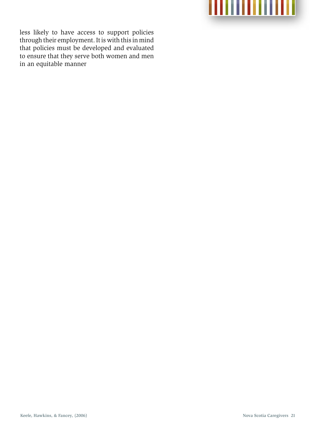# ,,,,,,,,,,,,,,,,

less likely to have access to support policies through their employment. It is with this in mind that policies must be developed and evaluated to ensure that they serve both women and men in an equitable manner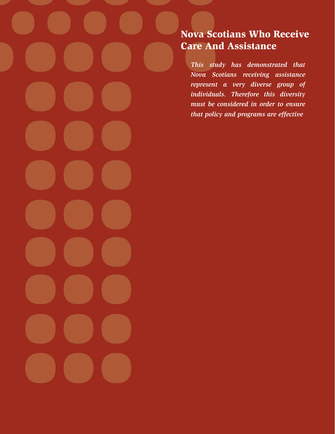# Nova Scotians Who Receive Care And Assistance

*This study has demonstrated that Nova Scotians receiving assistance represent a very diverse group of individuals. Therefore this diversity must be considered in order to ensure that policy and programs are effective*

<span id="page-33-0"></span>Nova Scotians<br>
Care And Assis<br>
This study has a<br>
Nova Scotians<br>
The study has a<br>
Nova Scotians<br>
The study has a<br>
Nova Scotians<br>
The considerably and prove<br>
mast consider the considerably<br>
mast consider the considerably<br>
ma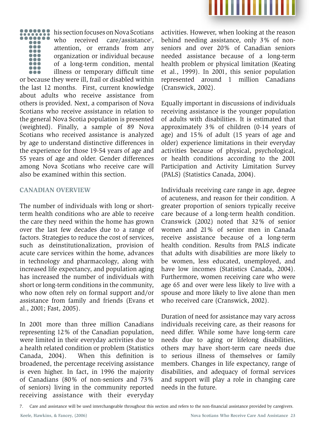

<span id="page-34-0"></span>**Example 12**<br> **Example 13**<br> **Example 13**<br> **Example 14**<br> **Example 14**<br> **Example 14**<br> **Example 14**<br> **Example 14**<br> **Example 14**<br> **Example 14**<br> **Example 14**<br> **Example 14**<br> **Example 14**<br> **Example 14**<br> **Example 14**<br> **Example 14** his section focuses on Nova Scotians who received care/assistance<sup>7</sup>, attention, or errands from any organization or individual because of a long-term condition, mental illness or temporary difficult time

or because they were ill, frail or disabled within the last 12 months. First, current knowledge about adults who receive assistance from others is provided. Next, a comparison of Nova Scotians who receive assistance in relation to the general Nova Scotia population is presented (weighted). Finally, a sample of 89 Nova Scotians who received assistance is analyzed by age to understand distinctive differences in the experience for those 19-54 years of age and 55 years of age and older. Gender differences among Nova Scotians who receive care will also be examined within this section.

### **CANADIAN OVERVIEW**

The number of individuals with long or shortterm health conditions who are able to receive the care they need within the home has grown over the last few decades due to a range of factors. Strategies to reduce the cost of services, such as deinstitutionalization, provision of acute care services within the home, advances in technology and pharmacology, along with increased life expectancy, and population aging has increased the number of individuals with short or long-term conditions in the community, who now often rely on formal support and/or assistance from family and friends (Evans et al., 2001; Fast, 2005).

In 2001 more than three million Canadians representing 12% of the Canadian population, were limited in their everyday activities due to a health related condition or problem (Statistics Canada, 2004). When this definition is broadened, the percentage receiving assistance is even higher. In fact, in 1996 the majority of Canadians (80% of non-seniors and 73% of seniors) living in the community reported receiving assistance with their everyday

activities. However, when looking at the reason behind needing assistance, only 3% of nonseniors and over 20% of Canadian seniors needed assistance because of a long-term health problem or physical limitation (Keating et al., 1999). In 2001, this senior population represented around 1 million Canadians (Cranswick, 2002).

Equally important in discussions of individuals receiving assistance is the younger population of adults with disabilities. It is estimated that approximately 3% of children (0-14 years of age) and 15% of adult (15 years of age and older) experience limitations in their everyday activities because of physical, psychological, or health conditions according to the 2001 Participation and Activity Limitation Survey (PALS) (Statistics Canada, 2004).

Individuals receiving care range in age, degree of acuteness, and reason for their condition. A greater proportion of seniors typically receive care because of a long-term health condition. Cranswick (2002) noted that 32% of senior women and 21% of senior men in Canada receive assistance because of a long-term health condition. Results from PALS indicate that adults with disabilities are more likely to be women, less educated, unemployed, and have low incomes (Statistics Canada, 2004). Furthermore, women receiving care who were age 65 and over were less likely to live with a spouse and more likely to live alone than men who received care (Cranswick, 2002).

Duration of need for assistance may vary across individuals receiving care, as their reasons for need differ. While some have long-term care needs due to aging or lifelong disabilities, others may have short-term care needs due to serious illness of themselves or family members. Changes in life expectancy, range of disabilities, and adequacy of formal services and support will play a role in changing care needs in the future.

<sup>7.</sup> Care and assistance will be used interchangeable throughout this section and refers to the non-financial assistance provided by caregivers.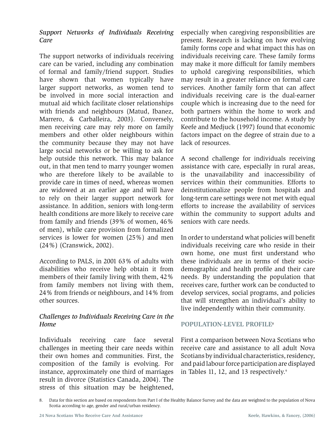### <span id="page-35-0"></span>*Support Networks of Individuals Receiving Care*

The support networks of individuals receiving care can be varied, including any combination of formal and family/friend support. Studies have shown that women typically have larger support networks, as women tend to be involved in more social interaction and mutual aid which facilitate closer relationships with friends and neighbours (Matud, Ibanez, Marrero, & Carballeira, 2003). Conversely, men receiving care may rely more on family members and other older neighbours within the community because they may not have large social networks or be willing to ask for help outside this network. This may balance out, in that men tend to marry younger women who are therefore likely to be available to provide care in times of need, whereas women are widowed at an earlier age and will have to rely on their larger support network for assistance. In addition, seniors with long-term health conditions are more likely to receive care from family and friends (39% of women, 46% of men), while care provision from formalized services is lower for women (25%) and men (24%) (Cranswick, 2002).

According to PALS, in 2001 63% of adults with disabilities who receive help obtain it from members of their family living with them, 42% from family members not living with them, 24% from friends or neighbours, and 14% from other sources.

### *Challenges to Individuals Receiving Care in the Home*

Individuals receiving care face several challenges in meeting their care needs within their own homes and communities. First, the composition of the family is evolving. For instance, approximately one third of marriages result in divorce (Statistics Canada, 2004). The stress of this situation may be heightened, especially when caregiving responsibilities are present. Research is lacking on how evolving family forms cope and what impact this has on individuals receiving care. These family forms may make it more difficult for family members to uphold caregiving responsibilities, which may result in a greater reliance on formal care services. Another family form that can affect individuals receiving care is the dual-earner couple which is increasing due to the need for both partners within the home to work and contribute to the household income. A study by Keefe and Medjuck (1997) found that economic factors impact on the degree of strain due to a lack of resources.

A second challenge for individuals receiving assistance with care, especially in rural areas, is the unavailability and inaccessibility of services within their communities. Efforts to deinstitutionalize people from hospitals and long-term care settings were not met with equal efforts to increase the availability of services within the community to support adults and seniors with care needs.

In order to understand what policies will benefit individuals receiving care who reside in their own home, one must first understand who these individuals are in terms of their sociodemographic and health profile and their care needs. By understanding the population that receives care, further work can be conducted to develop services, social programs, and policies that will strengthen an individual's ability to live independently within their community.

### **POPULATION-LEVEL PROFILE**<sup>8</sup>

First a comparison between Nova Scotians who receive care and assistance to all adult Nova Scotians by individual characteristics, residency, and paid labour force participation are displayed in Tables 11, 12, and 13 respectively.<sup>9</sup>

<sup>8.</sup> Data for this section are based on respondents from Part I of the Healthy Balance Survey and the data are weighted to the population of Nova Scotia according to age, gender and rural/urban residency.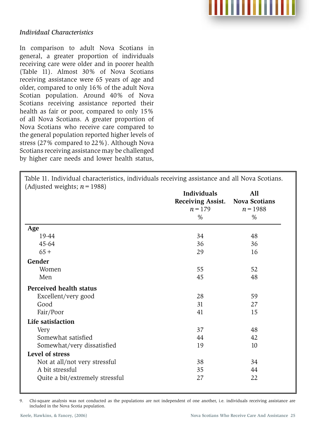### *Individual Characteristics*

In comparison to adult Nova Scotians in general, a greater proportion of individuals receiving care were older and in poorer health (Table 11). Almost 30% of Nova Scotians receiving assistance were 65 years of age and older, compared to only 16% of the adult Nova Scotian population. Around 40% of Nova Scotians receiving assistance reported their health as fair or poor, compared to only 15% of all Nova Scotians. A greater proportion of Nova Scotians who receive care compared to the general population reported higher levels of stress (27% compared to 22%). Although Nova Scotians receiving assistance may be challenged by higher care needs and lower health status,

Table 11. Individual characteristics, individuals receiving assistance and all Nova Scotians. (Adjusted weights; *n*=1988)

| - 0                             | <b>Individuals</b><br>Receiving Assist. Nova Scotians<br>$n = 179$ | All<br>$n = 1988$ |
|---------------------------------|--------------------------------------------------------------------|-------------------|
|                                 | %                                                                  | %                 |
| Age                             |                                                                    |                   |
| 19-44                           | 34                                                                 | 48                |
| 45-64                           | 36                                                                 | 36                |
| $65+$                           | 29                                                                 | 16                |
| Gender                          |                                                                    |                   |
| Women                           | 55                                                                 | 52                |
| Men                             | 45                                                                 | 48                |
| Perceived health status         |                                                                    |                   |
| Excellent/very good             | 28                                                                 | 59                |
| Good                            | 31                                                                 | 27                |
| Fair/Poor                       | 41                                                                 | 15                |
| Life satisfaction               |                                                                    |                   |
| Very                            | 37                                                                 | 48                |
| Somewhat satisfied              | 44                                                                 | 42                |
| Somewhat/very dissatisfied      | 19                                                                 | 10                |
| Level of stress                 |                                                                    |                   |
| Not at all/not very stressful   | 38                                                                 | 34                |
| A bit stressful                 | 35                                                                 | 44                |
| Quite a bit/extremely stressful | 27                                                                 | 22                |

9. Chi-square analysis was not conducted as the populations are not independent of one another, i.e. individuals receiving assistance are included in the Nova Scotia population.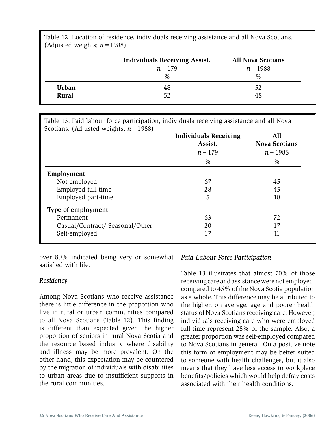| <b>All Nova Scotians</b> |
|--------------------------|
|                          |
|                          |
|                          |
|                          |
|                          |

Table 12. Location of residence, individuals receiving assistance and all Nova Scotians.

Table 13. Paid labour force participation, individuals receiving assistance and all Nova Scotians. (Adjusted weights; *n*=1988)

| <b>Individuals Receiving</b><br>Assist.<br>$n = 179$ | All<br><b>Nova Scotians</b><br>$n = 1988$ |
|------------------------------------------------------|-------------------------------------------|
| %                                                    | $\%$                                      |
|                                                      |                                           |
| 67                                                   | 45                                        |
| 28                                                   | 45                                        |
| 5                                                    | 10                                        |
|                                                      |                                           |
| 63                                                   | 72                                        |
| 20                                                   | 17                                        |
| 17                                                   | 11                                        |
|                                                      |                                           |

over 80% indicated being very or somewhat satisfied with life.

### *Residency*

Among Nova Scotians who receive assistance there is little difference in the proportion who live in rural or urban communities compared to all Nova Scotians (Table 12). This finding is different than expected given the higher proportion of seniors in rural Nova Scotia and the resource based industry where disability and illness may be more prevalent. On the other hand, this expectation may be countered by the migration of individuals with disabilities to urban areas due to insufficient supports in the rural communities.

### *Paid Labour Force Participation*

Table 13 illustrates that almost 70% of those receiving care and assistance were not employed, compared to 45% of the Nova Scotia population as a whole. This difference may be attributed to the higher, on average, age and poorer health status of Nova Scotians receiving care. However, individuals receiving care who were employed full-time represent 28% of the sample. Also, a greater proportion was self-employed compared to Nova Scotians in general. On a positive note this form of employment may be better suited to someone with health challenges, but it also means that they have less access to workplace benefits/policies which would help defray costs associated with their health conditions.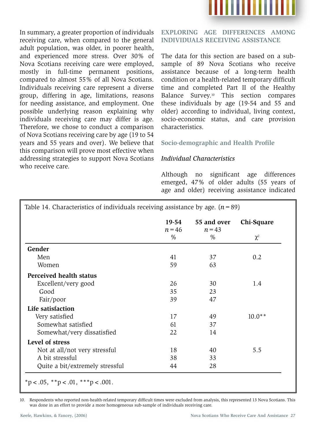

<span id="page-38-0"></span>In summary, a greater proportion of individuals receiving care, when compared to the general adult population, was older, in poorer health, and experienced more stress. Over 30% of Nova Scotians receiving care were employed, mostly in full-time permanent positions, compared to almost 55% of all Nova Scotians. Individuals receiving care represent a diverse group, differing in age, limitations, reasons for needing assistance, and employment. One possible underlying reason explaining why individuals receiving care may differ is age. Therefore, we chose to conduct a comparison of Nova Scotians receiving care by age (19 to 54 years and 55 years and over). We believe that this comparison will prove most effective when addressing strategies to support Nova Scotians who receive care.

### **EXPLORING AGE DIFFERENCES AMONG INDIVIDUALS RECEIVING ASSISTANCE**

The data for this section are based on a subsample of 89 Nova Scotians who receive assistance because of a long-term health condition or a health-related temporary difficult time and completed Part II of the Healthy Balance Survey.10 This section compares these individuals by age (19-54 and 55 and older) according to individual, living context, socio-economic status, and care provision characteristics.

### **Socio-demographic and Health Profile**

### *Individual Characteristics*

Although no significant age differences emerged, 47% of older adults (55 years of age and older) receiving assistance indicated

|                                 | 19-54<br>$n = 46$ | 55 and over<br>$n = 43$ | Chi-Square |
|---------------------------------|-------------------|-------------------------|------------|
|                                 | $\%$              | $\%$                    | $\chi^2$   |
| Gender                          |                   |                         |            |
| Men                             | 41                | 37                      | 0.2        |
| Women                           | 59                | 63                      |            |
| Perceived health status         |                   |                         |            |
| Excellent/very good             | 26                | 30                      | 1.4        |
| Good                            | 35                | 23                      |            |
| Fair/poor                       | 39                | 47                      |            |
| Life satisfaction               |                   |                         |            |
| Very satisfied                  | 17                | 49                      | $10.0**$   |
| Somewhat satisfied              | 61                | 37                      |            |
| Somewhat/very dissatisfied      | 22                | 14                      |            |
| Level of stress                 |                   |                         |            |
| Not at all/not very stressful   | 18                | 40                      | 5.5        |
| A bit stressful                 | 38                | 33                      |            |
| Quite a bit/extremely stressful | 44                | 28                      |            |

10. Respondents who reported non-health-related temporary difficult times were excluded from analysis, this represented 13 Nova Scotians. This was done in an effort to provide a more homogeneous sub-sample of individuals receiving care.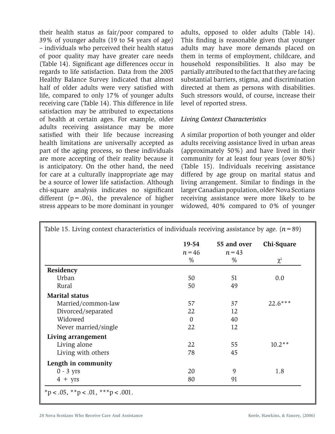their health status as fair/poor compared to 39% of younger adults (19 to 54 years of age) – individuals who perceived their health status of poor quality may have greater care needs (Table 14). Significant age differences occur in regards to life satisfaction. Data from the 2005 Healthy Balance Survey indicated that almost half of older adults were very satisfied with life, compared to only 17% of younger adults receiving care (Table 14). This difference in life satisfaction may be attributed to expectations of health at certain ages. For example, older adults receiving assistance may be more satisfied with their life because increasing health limitations are universally accepted as part of the aging process, so these individuals are more accepting of their reality because it is anticipatory. On the other hand, the need for care at a culturally inappropriate age may be a source of lower life satisfaction. Although chi-square analysis indicates no significant different  $(p=.06)$ , the prevalence of higher stress appears to be more dominant in younger adults, opposed to older adults (Table 14). This finding is reasonable given that younger adults may have more demands placed on them in terms of employment, childcare, and household responsibilities. It also may be partially attributed to the fact that they are facing substantial barriers, stigma, and discrimination directed at them as persons with disabilities. Such stressors would, of course, increase their level of reported stress.

### *Living Context Characteristics*

A similar proportion of both younger and older adults receiving assistance lived in urban areas (approximately 50%) and have lived in their community for at least four years (over 80%) (Table 15). Individuals receiving assistance differed by age group on marital status and living arrangement. Similar to findings in the larger Canadian population, older Nova Scotians receiving assistance were more likely to be widowed, 40% compared to 0% of younger

|                       | 19-54            | 55 and over      | Chi-Square |
|-----------------------|------------------|------------------|------------|
|                       | $n = 46$<br>$\%$ | $n = 43$<br>$\%$ | $\chi^2$   |
| Residency             |                  |                  |            |
| Urban                 | 50               | 51               | 0.0        |
| Rural                 | 50               | 49               |            |
| <b>Marital status</b> |                  |                  |            |
| Married/common-law    | 57               | 37               | $22.6***$  |
| Divorced/separated    | 22               | 12               |            |
| Widowed               | $\theta$         | 40               |            |
| Never married/single  | 22               | 12               |            |
| Living arrangement    |                  |                  |            |
| Living alone          | 22               | 55               | $10.2**$   |
| Living with others    | 78               | 45               |            |
| Length in community   |                  |                  |            |
| $0 - 3$ yrs           | 20               | 9                | 1.8        |
| $4 + yrs$             | 80               | 91               |            |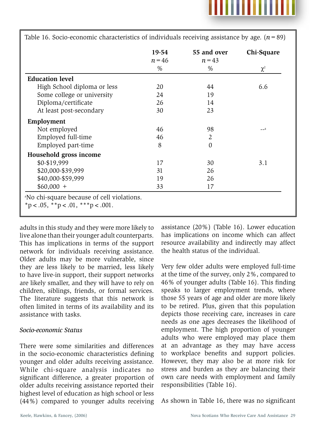

|                             | 19-54    | 55 and over  | Chi-Square |
|-----------------------------|----------|--------------|------------|
|                             | $n = 46$ | $n = 43$     |            |
|                             | $\%$     | %            | $\chi^2$   |
| <b>Education level</b>      |          |              |            |
| High School diploma or less | 20       | 44           | 6.6        |
| Some college or university  | 24       | 19           |            |
| Diploma/certificate         | 26       | 14           |            |
| At least post-secondary     | 30       | 23           |            |
| Employment                  |          |              |            |
| Not employed                | 46       | 98           | $  a$      |
| Employed full-time          | 46       | 2            |            |
| Employed part-time          | 8        | $\mathbf{0}$ |            |
| Household gross income      |          |              |            |
| \$0-\$19,999                | 17       | 30           | 3.1        |
| \$20,000-\$39,999           | 31       | 26           |            |
| \$40,000-\$59,999           | 19       | 26           |            |
| $$60,000 +$                 | 33       | 17           |            |

Table 16. Socio-economic characteristics of individuals receiving assistance by age.  $(n=89)$ 

adults in this study and they were more likely to live alone than their younger adult counterparts. This has implications in terms of the support network for individuals receiving assistance. Older adults may be more vulnerable, since they are less likely to be married, less likely to have live-in support, their support networks are likely smaller, and they will have to rely on children, siblings, friends, or formal services. The literature suggests that this network is often limited in terms of its availability and its assistance with tasks.

### *Socio-economic Status*

There were some similarities and differences in the socio-economic characteristics defining younger and older adults receiving assistance. While chi-square analysis indicates no significant difference, a greater proportion of older adults receiving assistance reported their highest level of education as high school or less (44%) compared to younger adults receiving assistance (20%) (Table 16). Lower education has implications on income which can affect resource availability and indirectly may affect the health status of the individual.

Very few older adults were employed full-time at the time of the survey, only 2%, compared to 46% of younger adults (Table 16). This finding speaks to larger employment trends, where those 55 years of age and older are more likely to be retired. Plus, given that this population depicts those receiving care, increases in care needs as one ages decreases the likelihood of employment. The high proportion of younger adults who were employed may place them at an advantage as they may have access to workplace benefits and support policies. However, they may also be at more risk for stress and burden as they are balancing their own care needs with employment and family responsibilities (Table 16).

As shown in Table 16, there was no significant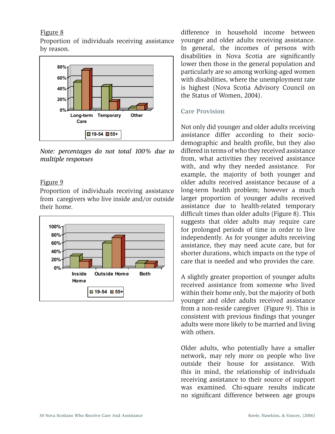### <span id="page-41-0"></span>Figure 8

Proportion of individuals receiving assistance by reason.



*Note: percentages do not total 100% due to multiple responses*

### Figure 9

Proportion of individuals receiving assistance from caregivers who live inside and/or outside their home.



difference in household income between younger and older adults receiving assistance. In general, the incomes of persons with disabilities in Nova Scotia are significantly lower then those in the general population and particularly are so among working-aged women with disabilities, where the unemployment rate is highest (Nova Scotia Advisory Council on the Status of Women, 2004).

### **Care Provision**

Not only did younger and older adults receiving assistance differ according to their sociodemographic and health profile, but they also differed in terms of who they received assistance from, what activities they received assistance with, and why they needed assistance. For example, the majority of both younger and older adults received assistance because of a long-term health problem; however a much larger proportion of younger adults received assistance due to health-related temporary difficult times than older adults (Figure 8). This suggests that older adults may require care for prolonged periods of time in order to live independently. As for younger adults receiving assistance, they may need acute care, but for shorter durations, which impacts on the type of care that is needed and who provides the care.

A slightly greater proportion of younger adults received assistance from someone who lived within their home only, but the majority of both younger and older adults received assistance from a non-reside caregiver (Figure 9). This is consistent with previous findings that younger adults were more likely to be married and living with others.

Older adults, who potentially have a smaller network, may rely more on people who live outside their house for assistance. With this in mind, the relationship of individuals receiving assistance to their source of support was examined. Chi-square results indicate no significant difference between age groups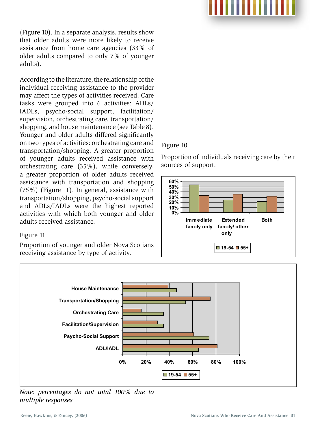(Figure 10). In a separate analysis, results show that older adults were more likely to receive assistance from home care agencies (33% of older adults compared to only 7% of younger adults).

According to the literature, the relationship of the individual receiving assistance to the provider may affect the types of activities received. Care tasks were grouped into 6 activities: ADLs/ IADLs, psycho-social support, facilitation/ supervision, orchestrating care, transportation/ shopping, and house maintenance (see Table 8). Younger and older adults differed significantly on two types of activities: orchestrating care and transportation/shopping. A greater proportion of younger adults received assistance with orchestrating care (35%), while conversely, a greater proportion of older adults received assistance with transportation and shopping (75%) (Figure 11). In general, assistance with transportation/shopping, psycho-social support and ADLs/IADLs were the highest reported activities with which both younger and older adults received assistance.

### Figure 11

Proportion of younger and older Nova Scotians receiving assistance by type of activity.

### Figure 10

Proportion of individuals receiving care by their sources of support.





### *Note: percentages do not total 100% due to multiple responses*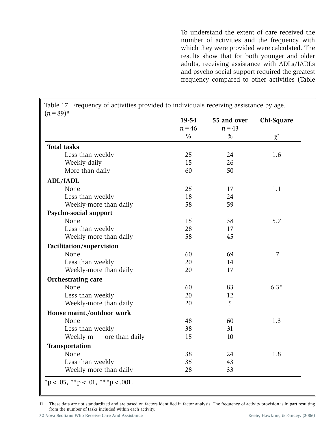To understand the extent of care received the number of activities and the frequency with which they were provided were calculated. The results show that for both younger and older adults, receiving assistance with ADLs/IADLs and psycho-social support required the greatest frequency compared to other activities (Table

|                           | 19-54<br>$n = 46$ | 55 and over<br>$n = 43$ | Chi-Square |
|---------------------------|-------------------|-------------------------|------------|
|                           | $\%$              | $\%$                    | $\chi^2$   |
| <b>Total tasks</b>        |                   |                         |            |
| Less than weekly          | 25                | 24                      | 1.6        |
| Weekly-daily              | 15                | 26                      |            |
| More than daily           | 60                | 50                      |            |
| <b>ADL/IADL</b>           |                   |                         |            |
| None                      | 25                | 17                      | 1.1        |
| Less than weekly          | 18                | 24                      |            |
| Weekly-more than daily    | 58                | 59                      |            |
| Psycho-social support     |                   |                         |            |
| None                      | 15                | 38                      | 5.7        |
| Less than weekly          | 28                | 17                      |            |
| Weekly-more than daily    | 58                | 45                      |            |
| Facilitation/supervision  |                   |                         |            |
| None                      | 60                | 69                      | .7         |
| Less than weekly          | 20                | 14                      |            |
| Weekly-more than daily    | 20                | 17                      |            |
| <b>Orchestrating care</b> |                   |                         |            |
| None                      | 60                | 83                      | $6.3*$     |
| Less than weekly          | 20                | 12                      |            |
| Weekly-more than daily    | 20                | 5                       |            |
| House maint./outdoor work |                   |                         |            |
| None                      | 48                | 60                      | 1.3        |
| Less than weekly          | 38                | 31                      |            |
| Weekly-m ore than daily   | 15                | 10                      |            |
| <b>Transportation</b>     |                   |                         |            |
| None                      | 38                | 24                      | 1.8        |
| Less than weekly          | 35                | 43                      |            |
| Weekly-more than daily    | 28                | 33                      |            |

11. These data are not standardized and are based on factors identified in factor analysis. The frequency of activity provision is in part resulting from the number of tasks included within each activity.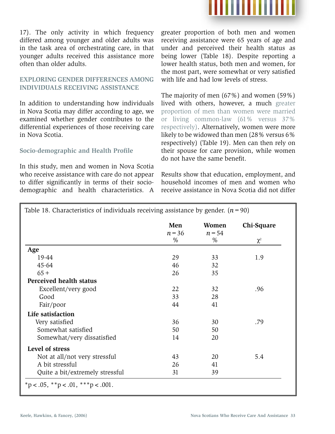

<span id="page-44-0"></span>17). The only activity in which frequency differed among younger and older adults was in the task area of orchestrating care, in that younger adults received this assistance more often than older adults.

### **EXPLORING GENDER DIFFERENCES AMONG INDIVIDUALS RECEIVING ASSISTANCE**

In addition to understanding how individuals in Nova Scotia may differ according to age, we examined whether gender contributes to the differential experiences of those receiving care in Nova Scotia.

### **Socio-demographic and Health Profile**

In this study, men and women in Nova Scotia who receive assistance with care do not appear to differ significantly in terms of their sociodemographic and health characteristics. A

greater proportion of both men and women receiving assistance were 65 years of age and under and perceived their health status as being lower (Table 18). Despite reporting a lower health status, both men and women, for the most part, were somewhat or very satisfied with life and had low levels of stress.

The majority of men (67%) and women (59%) lived with others, however, a much greater proportion of men than women were married or living common-law (61% versus 37% respectively). Alternatively, women were more likely to be widowed than men (28% versus 6% respectively) (Table 19). Men can then rely on their spouse for care provision, while women do not have the same benefit.

Results show that education, employment, and household incomes of men and women who receive assistance in Nova Scotia did not differ

| Table 18. Characteristics of individuals receiving assistance by gender. $(n = 90)$ |                 |                   |            |
|-------------------------------------------------------------------------------------|-----------------|-------------------|------------|
|                                                                                     | Men<br>$n = 36$ | Women<br>$n = 54$ | Chi-Square |
|                                                                                     | $\%$            | $\%$              | $\chi^2$   |
| Age                                                                                 |                 |                   |            |
| 19-44                                                                               | 29              | 33                | 1.9        |
| 45-64                                                                               | 46              | 32                |            |
| $65+$                                                                               | 26              | 35                |            |
| <b>Perceived health status</b>                                                      |                 |                   |            |
| Excellent/very good                                                                 | 22              | 32                | .96        |
| Good                                                                                | 33              | 28                |            |
| Fair/poor                                                                           | 44              | 41                |            |
| Life satisfaction                                                                   |                 |                   |            |
| Very satisfied                                                                      | 36              | 30                | .79        |
| Somewhat satisfied                                                                  | 50              | 50                |            |
| Somewhat/very dissatisfied                                                          | 14              | 20                |            |
| Level of stress                                                                     |                 |                   |            |
| Not at all/not very stressful                                                       | 43              | 20                | 5.4        |
| A bit stressful                                                                     | 26              | 41                |            |
|                                                                                     |                 |                   |            |
| Quite a bit/extremely stressful                                                     | 31              | 39                |            |
| $*p < .05, **p < .01, **p < .001.$                                                  |                 |                   |            |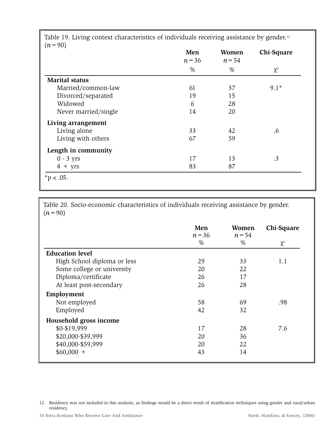|                       | Men<br>$n = 36$ | Women<br>$n = 54$ | Chi-Square |
|-----------------------|-----------------|-------------------|------------|
|                       | %               | $\%$              | $\chi^2$   |
| <b>Marital status</b> |                 |                   |            |
| Married/common-law    | 61              | 37                | $9.1*$     |
| Divorced/separated    | 19              | 15                |            |
| Widowed               | 6               | 28                |            |
| Never married/single  | 14              | 20                |            |
| Living arrangement    |                 |                   |            |
| Living alone          | 33              | 42                | .6         |
| Living with others    | 67              | 59                |            |
| Length in community   |                 |                   |            |
| $0 - 3$ yrs           | 17              | 13                | $\cdot$ 3  |
| $4 + yrs$             | 83              | 87                |            |

Table 19. Living context characteristics of individuals receiving assistance by gender.<sup>12</sup>  $(n = 90)$ 

Table 20. Socio-economic characteristics of individuals receiving assistance by gender. (*n*=90)

|                             | Men<br>$n = 36$ | <b>Women</b><br>$n = 54$ | Chi-Square |
|-----------------------------|-----------------|--------------------------|------------|
|                             | $\%$            | $\%$                     | $\chi^2$   |
| <b>Education level</b>      |                 |                          |            |
| High School diploma or less | 29              | 33                       | 1.1        |
| Some college or university  | 20              | 22                       |            |
| Diploma/certificate         | 26              | 17                       |            |
| At least post-secondary     | 26              | 28                       |            |
| Employment                  |                 |                          |            |
| Not employed                | 58              | 69                       | .98        |
| Employed                    | 42              | 32                       |            |
| Household gross income      |                 |                          |            |
| \$0-\$19,999                | 17              | 28                       | 7.6        |
| \$20,000-\$39,999           | 20              | 36                       |            |
| \$40,000-\$59,999           | 20              | 22                       |            |
| $$60,000 +$                 | 43              | 14                       |            |

12. Residency was not included in this analysis, as findings would be a direct result of stratification techniques using gender and rural/urban residency.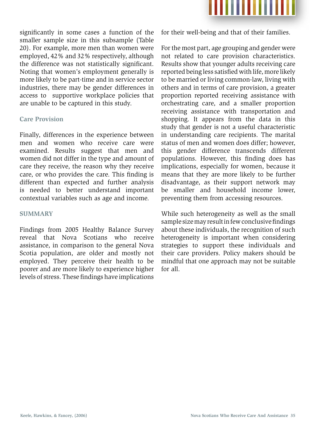

<span id="page-46-0"></span>significantly in some cases a function of the smaller sample size in this subsample (Table 20). For example, more men than women were employed, 42% and 32% respectively, although the difference was not statistically significant. Noting that women's employment generally is more likely to be part-time and in service sector industries, there may be gender differences in access to supportive workplace policies that are unable to be captured in this study.

### **Care Provision**

Finally, differences in the experience between men and women who receive care were examined. Results suggest that men and women did not differ in the type and amount of care they receive, the reason why they receive care, or who provides the care. This finding is different than expected and further analysis is needed to better understand important contextual variables such as age and income.

### **SUMMARY**

Findings from 2005 Healthy Balance Survey reveal that Nova Scotians who receive assistance, in comparison to the general Nova Scotia population, are older and mostly not employed. They perceive their health to be poorer and are more likely to experience higher levels of stress. These findings have implications

for their well-being and that of their families.

For the most part, age grouping and gender were not related to care provision characteristics. Results show that younger adults receiving care reported being less satisfied with life, more likely to be married or living common-law, living with others and in terms of care provision, a greater proportion reported receiving assistance with orchestrating care, and a smaller proportion receiving assistance with transportation and shopping. It appears from the data in this study that gender is not a useful characteristic in understanding care recipients. The marital status of men and women does differ; however, this gender difference transcends different populations. However, this finding does has implications, especially for women, because it means that they are more likely to be further disadvantage, as their support network may be smaller and household income lower, preventing them from accessing resources.

While such heterogeneity as well as the small sample size may result in few conclusive findings about these individuals, the recognition of such heterogeneity is important when considering strategies to support these individuals and their care providers. Policy makers should be mindful that one approach may not be suitable for all.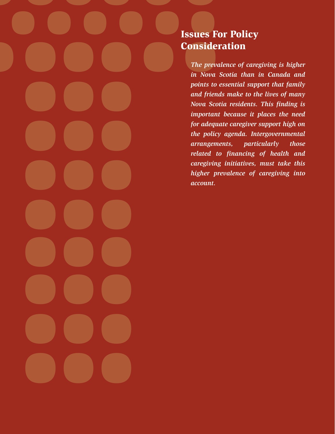# Issues For Policy **Consideration**

<span id="page-47-0"></span>ISsues For Political Consideration<br>
The prevalence of a<br>
m Nonts & cessering is<br>
and friends make to<br>
None Scotte and Scotter and Scotter<br>
(For the polity equation)<br>
orientation becomes.<br>
the polity equation<br>
orientation b *The prevalence of caregiving is higher in Nova Scotia than in Canada and points to essential support that family and friends make to the lives of many Nova Scotia residents. This finding is important because it places the need for adequate caregiver support high on the policy agenda. Intergovernmental arrangements, particularly those related to financing of health and caregiving initiatives, must take this higher prevalence of caregiving into account.*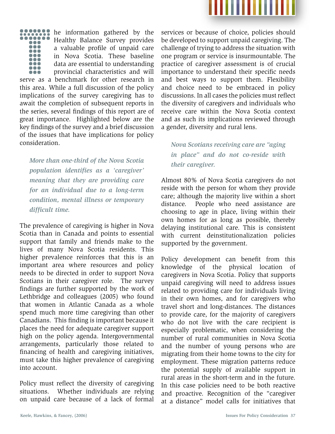

T he information gathered by the Healthy Balance Survey provides a valuable profile of unpaid care in Nova Scotia. These baseline data are essential to understanding provincial characteristics and will serve as a benchmark for other research in this area. While a full discussion of the policy implications of the survey caregiving has to await the completion of subsequent reports in the series, several findings of this report are of great importance. Highlighted below are the key findings of the survey and a brief discussion of the issues that have implications for policy consideration.

*More than one-third of the Nova Scotia population identifies as a 'caregiver' meaning that they are providing care for an individual due to a long-term condition, mental illness or temporary difficult time.* 

The prevalence of caregiving is higher in Nova Scotia than in Canada and points to essential support that family and friends make to the lives of many Nova Scotia residents. This higher prevalence reinforces that this is an important area where resources and policy needs to be directed in order to support Nova Scotians in their caregiver role. The survey findings are further supported by the work of Lethbridge and colleagues (2005) who found that women in Atlantic Canada as a whole spend much more time caregiving than other Canadians. This finding is important because it places the need for adequate caregiver support high on the policy agenda. Intergovernmental arrangements, particularly those related to financing of health and caregiving initiatives, must take this higher prevalence of caregiving into account.

Policy must reflect the diversity of caregiving situations. Whether individuals are relying on unpaid care because of a lack of formal

services or because of choice, policies should be developed to support unpaid caregiving. The challenge of trying to address the situation with one program or service is insurmountable. The practice of caregiver assessment is of crucial importance to understand their specific needs and best ways to support them. Flexibility and choice need to be embraced in policy discussions. In all cases the policies must reflect the diversity of caregivers and individuals who receive care within the Nova Scotia context and as such its implications reviewed through a gender, diversity and rural lens.

# *Nova Scotians receiving care are "aging in place" and do not co-reside with their caregiver.*

Almost 80% of Nova Scotia caregivers do not reside with the person for whom they provide care; although the majority live within a short distance. People who need assistance are choosing to age in place, living within their own homes for as long as possible, thereby delaying institutional care. This is consistent with current deinstitutionalization policies supported by the government.

Policy development can benefit from this knowledge of the physical location of caregivers in Nova Scotia. Policy that supports unpaid caregiving will need to address issues related to providing care for individuals living in their own homes, and for caregivers who travel short and long-distances. The distances to provide care, for the majority of caregivers who do not live with the care recipient is especially problematic, when considering the number of rural communities in Nova Scotia and the number of young persons who are migrating from their home towns to the city for employment. These migration patterns reduce the potential supply of available support in rural areas in the short-term and in the future. In this case policies need to be both reactive and proactive. Recognition of the "caregiver at a distance" model calls for initiatives that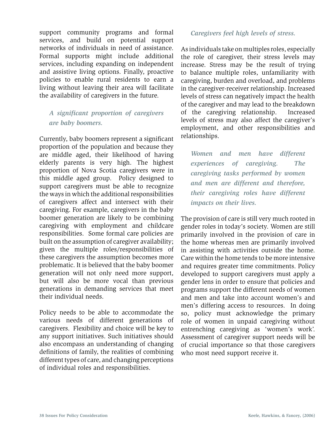support community programs and formal services, and build on potential support networks of individuals in need of assistance. Formal supports might include additional services, including expanding on independent and assistive living options. Finally, proactive policies to enable rural residents to earn a living without leaving their area will facilitate the availability of caregivers in the future.

### *A significant proportion of caregivers are baby boomers.*

Currently, baby boomers represent a significant proportion of the population and because they are middle aged, their likelihood of having elderly parents is very high. The highest proportion of Nova Scotia caregivers were in this middle aged group. Policy designed to support caregivers must be able to recognize the ways in which the additional responsibilities of caregivers affect and intersect with their caregiving. For example, caregivers in the baby boomer generation are likely to be combining caregiving with employment and childcare responsibilities. Some formal care policies are built on the assumption of caregiver availability; given the multiple roles/responsibilities of these caregivers the assumption becomes more problematic. It is believed that the baby boomer generation will not only need more support, but will also be more vocal than previous generations in demanding services that meet their individual needs.

Policy needs to be able to accommodate the various needs of different generations of caregivers. Flexibility and choice will be key to any support initiatives. Such initiatives should also encompass an understanding of changing definitions of family, the realities of combining different types of care, and changing perceptions of individual roles and responsibilities.

### *Caregivers feel high levels of stress.*

As individuals take on multiples roles, especially the role of caregiver, their stress levels may increase. Stress may be the result of trying to balance multiple roles, unfamiliarity with caregiving, burden and overload, and problems in the caregiver-receiver relationship. Increased levels of stress can negatively impact the health of the caregiver and may lead to the breakdown of the caregiving relationship. Increased levels of stress may also affect the caregiver's employment, and other responsibilities and relationships.

*Women and men have different experiences of caregiving. The caregiving tasks performed by women and men are different and therefore, their caregiving roles have different impacts on their lives.* 

The provision of care is still very much rooted in gender roles in today's society. Women are still primarily involved in the provision of care in the home whereas men are primarily involved in assisting with activities outside the home. Care within the home tends to be more intensive and requires greater time commitments. Policy developed to support caregivers must apply a gender lens in order to ensure that policies and programs support the different needs of women and men and take into account women's and men's differing access to resources. In doing so, policy must acknowledge the primary role of women in unpaid caregiving without entrenching caregiving as 'women's work'. Assessment of caregiver support needs will be of crucial importance so that those caregivers who most need support receive it.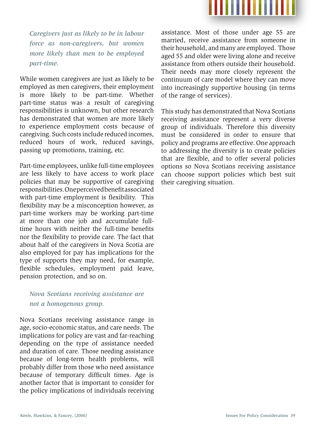

*Caregivers just as likely to be in labour force as non-caregivers, but women more likely than men to be employed part-time.*

While women caregivers are just as likely to be employed as men caregivers, their employment is more likely to be part-time. Whether part-time status was a result of caregiving responsibilities is unknown, but other research has demonstrated that women are more likely to experience employment costs because of caregiving. Such costs include reduced incomes, reduced hours of work, reduced savings, passing up promotions, training, etc.

Part-time employees, unlike full-time employees are less likely to have access to work place policies that may be supportive of caregiving responsibilities. One perceived benefit associated with part-time employment is flexibility. This flexibility may be a misconception however, as part-time workers may be working part-time at more than one job and accumulate fulltime hours with neither the full-time benefits nor the flexibility to provide care. The fact that about half of the caregivers in Nova Scotia are also employed for pay has implications for the type of supports they may need, for example, flexible schedules, employment paid leave, pension protection, and so on.

*Nova Scotians receiving assistance are not a homogenous group.* 

Nova Scotians receiving assistance range in age, socio-economic status, and care needs. The implications for policy are vast and far-reaching depending on the type of assistance needed and duration of care. Those needing assistance because of long-term health problems, will probably differ from those who need assistance because of temporary difficult times. Age is another factor that is important to consider for the policy implications of individuals receiving

assistance. Most of those under age 55 are married, receive assistance from someone in their household, and many are employed. Those aged 55 and older were living alone and receive assistance from others outside their household. Their needs may more closely represent the continuum of care model where they can move into increasingly supportive housing (in terms of the range of services).

This study has demonstrated that Nova Scotians receiving assistance represent a very diverse group of individuals. Therefore this diversity must be considered in order to ensure that policy and programs are effective. One approach to addressing the diversity is to create policies that are flexible, and to offer several policies options so Nova Scotians receiving assistance can choose support policies which best suit their caregiving situation.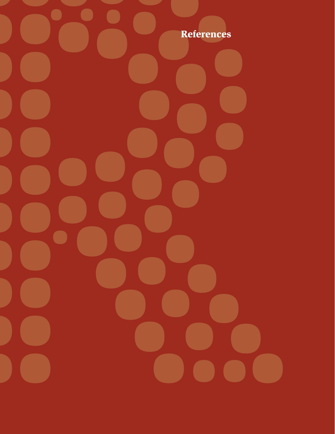<span id="page-51-0"></span>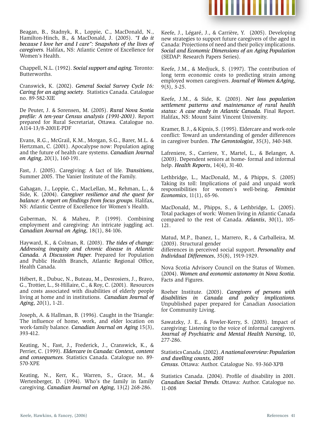

Beagan, B., Stadnyk, R., Loppie, C., MacDonald, N., Hamilton-Hinch, B., & MacDonald, J. (2005). *"I do it because I love her and I care": Snapshots of the lives of caregivers.* Halifax, NS: Atlantic Centre of Excellence for Women's Health.

Chappell, N.L. (1992). *Social support and aging.* Toronto: Butterworths.

Cranswick, K. (2002). *General Social Survey Cycle 16: Caring for an aging society.* Statistics Canada. Catalogue no. 89-582-XIE

De Peuter, J. & Sorensen, M. (2005). *Rural Nova Scotia profile: A ten-year Census analysis (1991-2001).* Report prepared for Rural Secretariat, Ottawa. Catalogue no. A114-13/8-2001E-PDF

Evans, R.G., McGrail, K.M., Morgan, S.G., Barer, M.L. & Hertzman, C. (2001). Apocalypse now: Population aging and the future of health care systems. *Canadian Journal on Aging*, 20(1), 160-191.

Fast, J. (2005). Caregiving: A fact of life. *Transitions*, Summer 2005. The Vanier Institute of the Family.

Gahagan, J., Loppie, C., MacLellan, M., Rehman, L., & Side, K. (2004). *Caregiver resilience and the quest for balance: A report on findings from focus groups.* Halifax, NS: Atlantic Centre of Excellence for Women's Health.

Guberman, N. & Maheu, P. (1999). Combining employment and caregiving: An intricate juggling act. *Canadian Journal on Aging*, 18(1), 84-106.

Hayward, K., & Colman, R. (2003). *The tides of change: Addressing inequity and chronic disease in Atlantic Canada. A Discussion Paper.* Prepared for Population and Public Health Branch, Atlantic Regional Office, Health Canada.

Hébert, R., Dubuc, N., Buteau, M., Desrosiers, J., Bravo, G., Trottier, L., St-Hillaire, C., & Roy, C. (2001). Resources and costs associated with disabilities of elderly people living at home and in institutions. *Canadian Journal of Aging*, 20(1), 1-21.

Joseph, A. & Hallman, B. (1996). Caught in the Triangle: The influence of home, work, and elder location on work-family balance. *Canadian Journal on Aging* 15(3), 393-412.

Keating, N., Fast, J., Frederick, J., Cranswick, K., & Perrier, C. (1999). *Eldercare in Canada: Context, content and consequences.* Statistics Canada. Catalogue no. 89- 570-XPE

Keating, N., Kerr, K., Warren, S., Grace, M., & Wertenberger, D. (1994). Who's the family in family caregiving. *Canadian Journal on Aging*, 13(2) 268-286.

Keefe, J., Légaré, J., & Carrière, Y. (2005). Developing new strategies to support future caregivers of the aged in Canada: Projections of need and their policy implications. *Social and Economic Dimensions of an Aging Population* (SEDAP: Research Papers Series).

Keefe, J.M., & Medjuck, S. (1997). The contribution of long term economic costs to predicting strain among employed women caregivers. *Journal of Women &Aging*, 9(3), 3-25.

Keefe, J.M., & Side, K. (2003). *Net loss population settlement patterns and maintenance of rural health status: A case study in Atlantic Canada.* Final Report. Halifax, NS: Mount Saint Vincent University.

Kramer, B. J., & Kipnis, S. (1995). Eldercare and work-role conflict: Toward an understanding of gender differences in caregiver burden. *The Gerontologist*, 35(3), 340-348.

Lafreniere, S., Carriere, Y., Martel, L., & Belanger, A. (2003). Dependent seniors at home- formal and informal help. *Health Reports*, 14(4), 31-40.

Lethbridge, L., MacDonald, M., & Phipps, S. (2005) Taking its toll: Implications of paid and unpaid work responsibilities for women's well-being. *Feminist Economics*, 11(1), 65-96.

MacDonald, M., Phipps, S., & Lethbridge, L. (2005). Total packages of work: Women living in Atlantic Canada compared to the rest of Canada. *Atlantis*, 30(1), 105- 121.

Matud, M.P., Ibanez, I., Marrero, R., & Carballeira, M. (2003). Structural gender

differences in perceived social support. *Personality and Individual Differences*, 35(8), 1919-1929.

Nova Scotia Advisory Council on the Status of Women. (2004). *Women and economic autonomy in Nova Scotia.* Facts and Figures.

Roeher Institute. (2003). *Caregivers of persons with disabilities in Canada and policy implications.* Unpublished paper prepared for Canadian Association for Community Living.

Sawatzky, J. E., & Fowler-Kerry, S. (2003). Impact of caregiving: Listening to the voice of informal caregivers. *Journal of Psychiatric and Mental Health Nursing*, 10, 277-286.

Statistics Canada. (2002). *A national overview: Population and dwelling counts, 2001*

*Census.* Ottawa: Author. Catalogue No. 93-360-XPB

Statistics Canada. (2004). Profile of disability in 2001. *Canadian Social Trends.* Ottawa: Author. Catalogue no. 11-008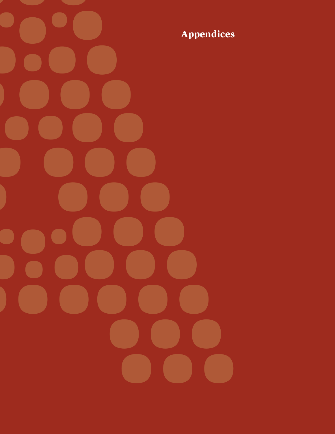<span id="page-53-0"></span>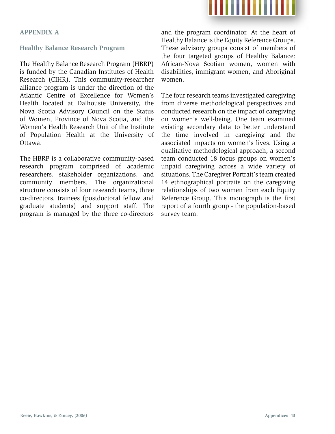

### <span id="page-54-0"></span>**APPENDIX A**

### **Healthy Balance Research Program**

The Healthy Balance Research Program (HBRP) is funded by the Canadian Institutes of Health Research (CIHR). This community-researcher alliance program is under the direction of the Atlantic Centre of Excellence for Women's Health located at Dalhousie University, the Nova Scotia Advisory Council on the Status of Women, Province of Nova Scotia, and the Women's Health Research Unit of the Institute of Population Health at the University of Ottawa.

The HBRP is a collaborative community-based research program comprised of academic researchers, stakeholder organizations, and community members. The organizational structure consists of four research teams, three co-directors, trainees (postdoctoral fellow and graduate students) and support staff. The program is managed by the three co-directors

and the program coordinator. At the heart of Healthy Balance is the Equity Reference Groups. These advisory groups consist of members of the four targeted groups of Healthy Balance: African-Nova Scotian women, women with disabilities, immigrant women, and Aboriginal women.

The four research teams investigated caregiving from diverse methodological perspectives and conducted research on the impact of caregiving on women's well-being. One team examined existing secondary data to better understand the time involved in caregiving and the associated impacts on women's lives. Using a qualitative methodological approach, a second team conducted 18 focus groups on women's unpaid caregiving across a wide variety of situations. The Caregiver Portrait's team created 14 ethnographical portraits on the caregiving relationships of two women from each Equity Reference Group. This monograph is the first report of a fourth group - the population-based survey team.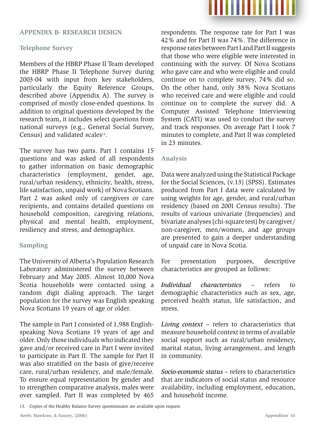

### <span id="page-56-0"></span>**APPENDIX B- RESEARCH DESIGN**

### **Telephone Survey**

Members of the HBRP Phase II Team developed the HBRP Phase II Telephone Survey during 2003-04 with input from key stakeholders, particularly the Equity Reference Groups, described above (Appendix A). The survey is comprised of mostly close-ended questions. In addition to original questions developed by the research team, it includes select questions from national surveys (e.g., General Social Survey, Census) and validated scales<sup>13</sup>.

The survey has two parts. Part 1 contains 15 questions and was asked of all respondents to gather information on basic demographic characteristics (employment, gender, age, rural/urban residency, ethnicity, health, stress, life satisfaction, unpaid work) of Nova Scotians. Part 2 was asked only of caregivers or care recipients, and contains detailed questions on household composition, caregiving relations, physical and mental health, employment, resiliency and stress, and demographics.

### **Sampling**

The University of Alberta's Population Research Laboratory administered the survey between February and May 2005. Almost 10,000 Nova Scotia households were contacted using a random digit dialing approach. The target population for the survey was English speaking Nova Scotians 19 years of age or older.

The sample in Part I consisted of 1,988 Englishspeaking Nova Scotians 19 years of age and older. Only those individuals who indicated they gave and/or received care in Part I were invited to participate in Part II. The sample for Part II was also stratified on the basis of give/receive care, rural/urban residency, and male/female. To ensure equal representation by gender and to strengthen comparative analysis, males were over sampled. Part II was completed by 465

respondents. The response rate for Part I was 42% and for Part II was 74%. The difference in response rates between Part I and Part II suggests that those who were eligible were interested in continuing with the survey. Of Nova Scotians who gave care and who were eligible and could continue on to complete survey, 74% did so. On the other hand, only 38% Nova Scotians who received care and were eligible and could continue on to complete the survey did. A Computer Assisted Telephone Interviewing System (CATI) was used to conduct the survey and track responses. On average Part I took 7 minutes to complete, and Part II was completed in 23 minutes.

### **Analysis**

Data were analyzed using the Statistical Package for the Social Sciences, (v.13) (SPSS). Estimates produced from Part I data were calculated by using weights for age, gender, and rural/urban residency (based on 2001 Census results). The results of various univariate (frequencies) and bivariate analyses (chi-square test) by caregiver/ non-caregiver, men/women, and age groups are presented to gain a deeper understanding of unpaid care in Nova Scotia.

For presentation purposes, descriptive characteristics are grouped as follows:

*Individual characteristics* – refers to demographic characteristics such as sex, age, perceived health status, life satisfaction, and stress.

*Living context* – refers to characteristics that measure household context in terms of available social support such as rural/urban residency, marital status, living arrangement, and length in community.

*Socio-economic status* – refers to characteristics that are indicators of social status and resource availability, including employment, education, and household income.

<sup>13.</sup> Copies of the Healthy Balance Survey questionnaire are available upon request.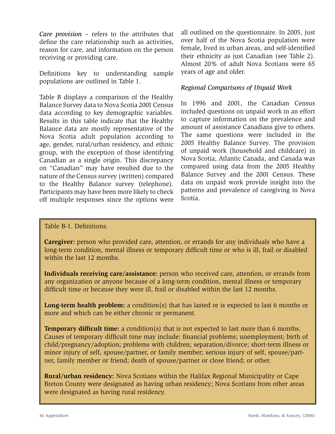*Care provision* – refers to the attributes that define the care relationship such as activities, reason for care, and information on the person receiving or providing care.

Definitions key to understanding sample populations are outlined in Table 1.

Table B displays a comparison of the Healthy Balance Survey data to Nova Scotia 2001 Census data according to key demographic variables. Results in this table indicate that the Healthy Balance data are mostly representative of the Nova Scotia adult population according to age, gender, rural/urban residency, and ethnic group, with the exception of those identifying Canadian as a single origin. This discrepancy on "Canadian" may have resulted due to the nature of the Census survey (written) compared to the Healthy Balance survey (telephone). Participants may have been more likely to check off multiple responses since the options were

all outlined on the questionnaire. In 2005, just over half of the Nova Scotia population were female, lived in urban areas, and self-identified their ethnicity as just Canadian (see Table 2). Almost 20% of adult Nova Scotians were 65 years of age and older.

### *Regional Comparisons of Unpaid Work*

In 1996 and 2001, the Canadian Census included questions on unpaid work in an effort to capture information on the prevalence and amount of assistance Canadians give to others. The same questions were included in the 2005 Healthy Balance Survey. The provision of unpaid work (household and childcare) in Nova Scotia, Atlantic Canada, and Canada was compared using data from the 2005 Healthy Balance Survey and the 2001 Census. These data on unpaid work provide insight into the patterns and prevalence of caregiving in Nova Scotia.

### Table B-1. Definitions.

**Caregiver:** person who provided care, attention, or errands for any individuals who have a long-term condition, mental illness or temporary difficult time or who is ill, frail or disabled within the last 12 months.

**Individuals receiving care/assistance:** person who received care, attention, or errands from any organization or anyone because of a long-term condition, mental illness or temporary difficult time or because they were ill, frail or disabled within the last 12 months.

**Long-term health problem:** a condition(s) that has lasted or is expected to last 6 months or more and which can be either chronic or permanent.

**Temporary difficult time:** a condition(s) that is not expected to last more than 6 months. Causes of temporary difficult time may include: financial problems; unemployment; birth of child/pregnancy/adoption; problems with children; separation/divorce; short-term illness or minor injury of self, spouse/partner, or family member; serious injury of self, spouse/partner, family member or friend; death of spouse/partner or close friend; or other.

**Rural/urban residency:** Nova Scotians within the Halifax Regional Municipality or Cape Breton County were designated as having urban residency; Nova Scotians from other areas were designated as having rural residency.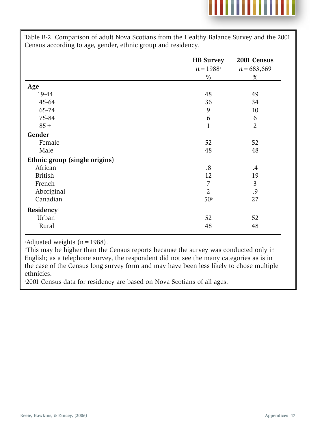

Table B-2. Comparison of adult Nova Scotians from the Healthy Balance Survey and the 2001 Census according to age, gender, ethnic group and residency.

|                               | <b>HB</b> Survey        | 2001 Census    |
|-------------------------------|-------------------------|----------------|
|                               | $n = 1988$ <sup>a</sup> | $n = 683,669$  |
|                               | %                       | %              |
| Age                           |                         |                |
| 19-44                         | 48                      | 49             |
| 45-64                         | 36                      | 34             |
| 65-74                         | 9                       | 10             |
| 75-84                         | 6                       | 6              |
| $85 +$                        | $\mathbf{1}$            | $\overline{2}$ |
| Gender                        |                         |                |
| Female                        | 52                      | 52             |
| Male                          | 48                      | 48             |
| Ethnic group (single origins) |                         |                |
| African                       | .8                      | $\cdot$        |
| <b>British</b>                | 12                      | 19             |
| French                        | $\overline{7}$          | $\overline{3}$ |
| Aboriginal                    | $\overline{2}$          | .9             |
| Canadian                      | 50 <sup>b</sup>         | 27             |
| <b>Residency</b> <sup>c</sup> |                         |                |
| Urban                         | 52                      | 52             |
| Rural                         | 48                      | 48             |

a Adjusted weights (n=1988).

b This may be higher than the Census reports because the survey was conducted only in English; as a telephone survey, the respondent did not see the many categories as is in the case of the Census long survey form and may have been less likely to chose multiple ethnicies.

c 2001 Census data for residency are based on Nova Scotians of all ages.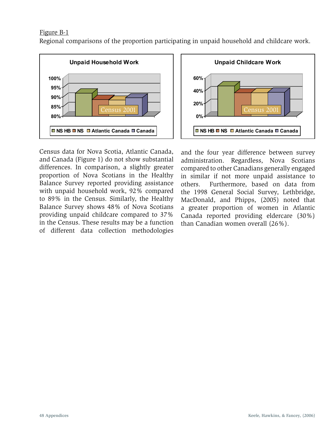### Figure B-1

Regional comparisons of the proportion participating in unpaid household and childcare work.



Census data for Nova Scotia, Atlantic Canada, and Canada (Figure 1) do not show substantial differences. In comparison, a slightly greater proportion of Nova Scotians in the Healthy Balance Survey reported providing assistance with unpaid household work, 92% compared to 89% in the Census. Similarly, the Healthy Balance Survey shows 48% of Nova Scotians providing unpaid childcare compared to 37% in the Census. These results may be a function of different data collection methodologies



and the four year difference between survey administration. Regardless, Nova Scotians compared to other Canadians generally engaged in similar if not more unpaid assistance to others. Furthermore, based on data from the 1998 General Social Survey, Lethbridge, MacDonald, and Phipps, (2005) noted that a greater proportion of women in Atlantic Canada reported providing eldercare (30%) than Canadian women overall (26%).